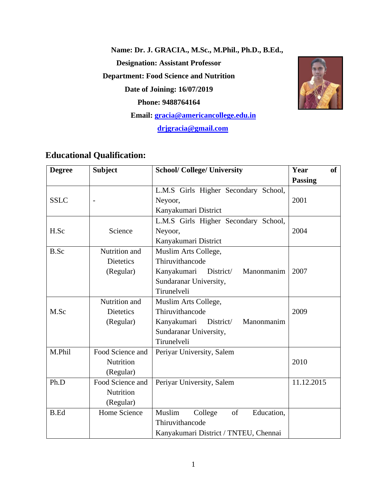**Name: Dr. J. GRACIA., M.Sc., M.Phil., Ph.D., B.Ed., Designation: Assistant Professor Department: Food Science and Nutrition Date of Joining: 16/07/2019 Phone: 9488764164 Email: [gracia@americancollege.edu.in](mailto:gracia@americancollege.edu.in)**

 **[drjgracia@gmail.com](mailto:drjgracia@gmail.com)**



# **Educational Qualification:**

| <b>Degree</b> | <b>Subject</b>   | <b>School/ College/ University</b>     | Year<br><b>of</b> |
|---------------|------------------|----------------------------------------|-------------------|
|               |                  |                                        | <b>Passing</b>    |
|               |                  | L.M.S Girls Higher Secondary School,   |                   |
| <b>SSLC</b>   |                  | Neyoor,                                | 2001              |
|               |                  | Kanyakumari District                   |                   |
|               |                  | L.M.S Girls Higher Secondary School,   |                   |
| H.Sc          | Science          | Neyoor,                                | 2004              |
|               |                  | Kanyakumari District                   |                   |
| B.Sc          | Nutrition and    | Muslim Arts College,                   |                   |
|               | <b>Dietetics</b> | Thiruvithancode                        |                   |
|               | (Regular)        | Kanyakumari<br>District/<br>Manonmanim | 2007              |
|               |                  | Sundaranar University,                 |                   |
|               |                  | Tirunelveli                            |                   |
|               | Nutrition and    | Muslim Arts College,                   |                   |
| M.Sc          | <b>Dietetics</b> | Thiruvithancode                        | 2009              |
|               | (Regular)        | Manonmanim<br>Kanyakumari<br>District/ |                   |
|               |                  | Sundaranar University,                 |                   |
|               |                  | Tirunelveli                            |                   |
| M.Phil        | Food Science and | Periyar University, Salem              |                   |
|               | Nutrition        |                                        | 2010              |
|               | (Regular)        |                                        |                   |
| Ph.D          | Food Science and | Periyar University, Salem              | 11.12.2015        |
|               | Nutrition        |                                        |                   |
|               | (Regular)        |                                        |                   |
| <b>B.Ed</b>   | Home Science     | Muslim<br>College<br>of<br>Education,  |                   |
|               |                  | Thiruvithancode                        |                   |
|               |                  | Kanyakumari District / TNTEU, Chennai  |                   |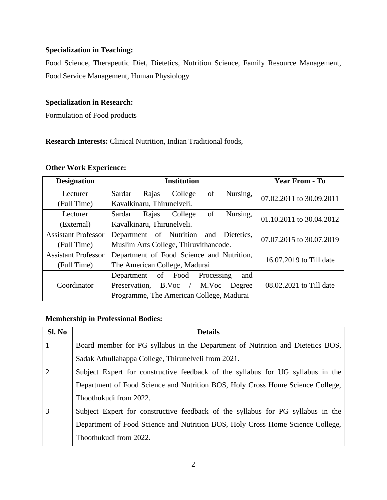#### **Specialization in Teaching:**

Food Science, Therapeutic Diet, Dietetics, Nutrition Science, Family Resource Management, Food Service Management, Human Physiology

#### **Specialization in Research:**

Formulation of Food products

**Research Interests:** Clinical Nutrition, Indian Traditional foods,

#### **Other Work Experience:**

| <b>Designation</b>         | <b>Institution</b>                           | <b>Year From - To</b>    |
|----------------------------|----------------------------------------------|--------------------------|
| Lecturer                   | of<br>Sardar<br>College<br>Nursing,<br>Rajas | 07.02.2011 to 30.09.2011 |
| (Full Time)                | Kavalkinaru, Thirunelveli.                   |                          |
| Lecturer                   | of<br>College<br>Nursing,<br>Sardar<br>Rajas | 01.10.2011 to 30.04.2012 |
| (External)                 | Kavalkinaru, Thirunelveli.                   |                          |
| <b>Assistant Professor</b> | Department of Nutrition and Dietetics,       | 07.07.2015 to 30.07.2019 |
| (Full Time)                | Muslim Arts College, Thiruvithancode.        |                          |
| <b>Assistant Professor</b> | Department of Food Science and Nutrition,    | 16.07.2019 to Till date  |
| (Full Time)                | The American College, Madurai                |                          |
|                            | of Food<br>Processing<br>Department<br>and   |                          |
| Coordinator                | Preservation, B.Voc /<br>M.Voc<br>Degree     | 08.02.2021 to Till date  |
|                            | Programme, The American College, Madurai     |                          |

#### **Membership in Professional Bodies:**

| Sl. No         | <b>Details</b>                                                                  |
|----------------|---------------------------------------------------------------------------------|
|                | Board member for PG syllabus in the Department of Nutrition and Dietetics BOS,  |
|                | Sadak Athullahappa College, Thirunelveli from 2021.                             |
| $\overline{2}$ | Subject Expert for constructive feedback of the syllabus for UG syllabus in the |
|                | Department of Food Science and Nutrition BOS, Holy Cross Home Science College,  |
|                | Thoothukudi from 2022.                                                          |
| 3              | Subject Expert for constructive feedback of the syllabus for PG syllabus in the |
|                | Department of Food Science and Nutrition BOS, Holy Cross Home Science College,  |
|                | Thoothukudi from 2022.                                                          |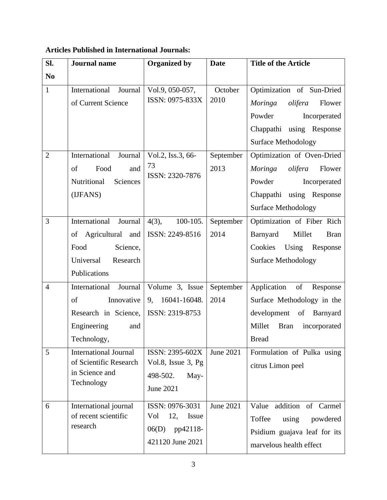**Articles Published in International Journals:**

| SI.                 | <b>Journal</b> name                                                                                                                       | <b>Organized by</b>                                                             | <b>Date</b>                    | <b>Title of the Article</b>                                                                                                                                                      |
|---------------------|-------------------------------------------------------------------------------------------------------------------------------------------|---------------------------------------------------------------------------------|--------------------------------|----------------------------------------------------------------------------------------------------------------------------------------------------------------------------------|
| N <sub>0</sub>      |                                                                                                                                           |                                                                                 |                                |                                                                                                                                                                                  |
| $\mathbf{1}$        | International<br>Journal<br>of Current Science                                                                                            | Vol.9, 050-057,<br>ISSN: 0975-833X                                              | October<br>2010                | Optimization of Sun-Dried<br>olifera<br>Flower<br><b>Moringa</b>                                                                                                                 |
|                     |                                                                                                                                           |                                                                                 |                                | Powder<br>Incorperated<br>Chappathi using Response<br><b>Surface Methodology</b>                                                                                                 |
| $\overline{2}$      | International<br>Journal<br>Food<br>of<br>and<br>Nutritional<br>Sciences<br>(IJFANS)                                                      | Vol.2, Iss.3, 66-<br>73<br>ISSN: 2320-7876                                      | September<br>2013              | Optimization of Oven-Dried<br>Moringa<br>olifera<br>Flower<br>Powder<br>Incorperated<br>Chappathi using Response<br><b>Surface Methodology</b>                                   |
| 3                   | International<br>Journal<br>of Agricultural and<br>Food<br>Science,<br>Universal<br>Research<br>Publications                              | $4(3)$ ,<br>100-105.<br>ISSN: 2249-8516                                         | September<br>2014              | Optimization of Fiber Rich<br>Barnyard<br>Millet<br><b>Bran</b><br>Cookies<br>Using<br>Response<br><b>Surface Methodology</b>                                                    |
| $\overline{4}$<br>5 | International<br>Journal<br>Innovative<br>of<br>Research in Science,<br>Engineering<br>and<br>Technology,<br><b>International Journal</b> | Volume 3, Issue<br>9, 16041-16048.<br>ISSN: 2319-8753<br>ISSN: 2395-602X        | September<br>2014<br>June 2021 | Application<br>of<br>Response<br>Surface Methodology in the<br>development<br>of Barnyard<br>Millet<br><b>Bran</b><br>incorporated<br><b>Bread</b><br>Formulation of Pulka using |
|                     | of Scientific Research<br>in Science and<br>Technology                                                                                    | Vol.8, Issue 3, Pg<br>498-502.<br>May-<br><b>June 2021</b>                      |                                | citrus Limon peel                                                                                                                                                                |
| 6                   | International journal<br>of recent scientific<br>research                                                                                 | ISSN: 0976-3031<br>Vol<br>12,<br>Issue<br>pp42118-<br>06(D)<br>421120 June 2021 | June 2021                      | addition<br>of Carmel<br>Value<br>Toffee<br>using<br>powdered<br>Psidium guajava leaf for its<br>marvelous health effect                                                         |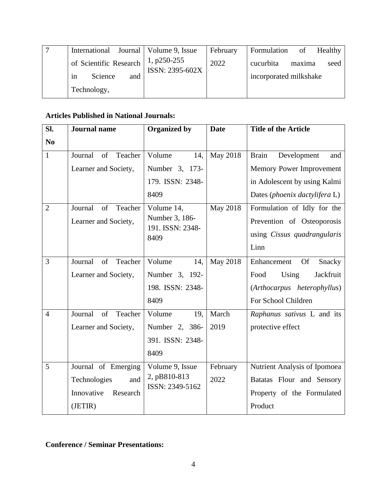| International Journal   Volume 9, Issue |                                | February | Formulation of<br>Healthy   |
|-----------------------------------------|--------------------------------|----------|-----------------------------|
| of Scientific Research                  | 1, p250-255<br>ISSN: 2395-602X | 2022     | cucurbita<br>maxima<br>seed |
| Science<br>and<br>in                    |                                |          | incorporated milkshake      |
| Technology,                             |                                |          |                             |

#### **Articles Published in National Journals:**

| SI.            | <b>Journal</b> name      | <b>Organized by</b>             | <b>Date</b> | <b>Title of the Article</b>        |
|----------------|--------------------------|---------------------------------|-------------|------------------------------------|
| N <sub>0</sub> |                          |                                 |             |                                    |
| $\mathbf{1}$   | of<br>Journal<br>Teacher | Volume<br>14,                   | May 2018    | <b>Brain</b><br>Development<br>and |
|                | Learner and Society,     | Number 3, 173-                  |             | Memory Power Improvement           |
|                |                          | 179. ISSN: 2348-                |             | in Adolescent by using Kalmi       |
|                |                          | 8409                            |             | Dates (phoenix dactylifera L)      |
| $\overline{2}$ | Journal<br>of<br>Teacher | Volume 14,                      | May 2018    | Formulation of Idly for the        |
|                | Learner and Society,     | Number 3, 186-                  |             | Prevention of Osteoporosis         |
|                |                          | 191. ISSN: 2348-<br>8409        |             | using Cissus quadrangularis        |
|                |                          |                                 |             | Linn                               |
| 3              | Journal<br>of<br>Teacher | Volume<br>14,                   | May 2018    | <b>Of</b><br>Enhancement<br>Snacky |
|                | Learner and Society,     | Number 3, 192-                  |             | Food<br>Jackfruit<br>Using         |
|                |                          | 198. ISSN: 2348-                |             | (Arthocarpus heterophyllus)        |
|                |                          | 8409                            |             | For School Children                |
| $\overline{4}$ | Journal<br>Teacher<br>of | Volume<br>19,                   | March       | Raphanus sativus L and its         |
|                | Learner and Society,     | Number 2, 386-                  | 2019        | protective effect                  |
|                |                          | 391. ISSN: 2348-                |             |                                    |
|                |                          | 8409                            |             |                                    |
| 5              | Journal of Emerging      | Volume 9, Issue                 | February    | Nutrient Analysis of Ipomoea       |
|                | Technologies<br>and      | 2, pB810-813<br>ISSN: 2349-5162 | 2022        | Batatas Flour and Sensory          |
|                | Innovative<br>Research   |                                 |             | Property of the Formulated         |
|                | (JETIR)                  |                                 |             | Product                            |

## **Conference / Seminar Presentations:**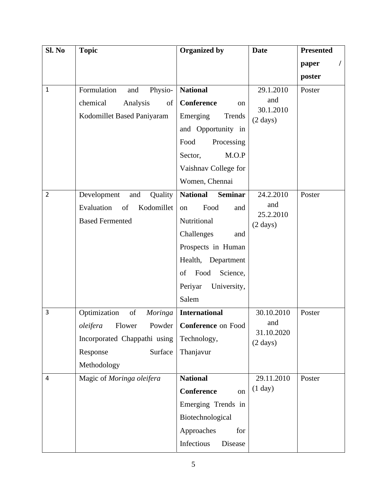| Sl. No         | <b>Topic</b>                         | <b>Organized by</b>               | <b>Date</b>                      | <b>Presented</b> |
|----------------|--------------------------------------|-----------------------------------|----------------------------------|------------------|
|                |                                      |                                   |                                  | I<br>paper       |
|                |                                      |                                   |                                  | poster           |
| 1              | Physio-<br>Formulation<br>and        | <b>National</b>                   | 29.1.2010                        | Poster           |
|                | chemical<br>Analysis<br>of           | Conference<br>on                  | and                              |                  |
|                | Kodomillet Based Paniyaram           | Emerging<br>Trends                | 30.1.2010<br>$(2 \text{ days})$  |                  |
|                |                                      | and Opportunity in                |                                  |                  |
|                |                                      | Food<br>Processing                |                                  |                  |
|                |                                      | M.O.P<br>Sector,                  |                                  |                  |
|                |                                      | Vaishnav College for              |                                  |                  |
|                |                                      | Women, Chennai                    |                                  |                  |
| $\overline{2}$ | Development<br>Quality<br>and        | <b>National</b><br><b>Seminar</b> | 24.2.2010                        | Poster           |
|                | Evaluation<br>of<br>Kodomillet       | Food<br>on<br>and                 | and                              |                  |
|                | <b>Based Fermented</b>               | Nutritional                       | 25.2.2010<br>$(2 \text{ days})$  |                  |
|                |                                      | Challenges<br>and                 |                                  |                  |
|                |                                      | Prospects in Human                |                                  |                  |
|                |                                      | Health, Department                |                                  |                  |
|                |                                      | Food<br>Science,<br>of            |                                  |                  |
|                |                                      | Periyar<br>University,            |                                  |                  |
|                |                                      | Salem                             |                                  |                  |
| 3              | Optimization<br>of<br><b>Moringa</b> | <b>International</b>              | 30.10.2010                       | Poster           |
|                | oleifera<br>Flower                   | Powder   Conference on Food       | and                              |                  |
|                | Incorporated Chappathi using         | Technology,                       | 31.10.2020<br>$(2 \text{ days})$ |                  |
|                | Surface<br>Response                  | Thanjavur                         |                                  |                  |
|                | Methodology                          |                                   |                                  |                  |
| 4              | Magic of Moringa oleifera            | <b>National</b>                   | 29.11.2010                       | Poster           |
|                |                                      | <b>Conference</b><br>on           | (1 day)                          |                  |
|                |                                      | Emerging Trends in                |                                  |                  |
|                |                                      | Biotechnological                  |                                  |                  |
|                |                                      | Approaches<br>for                 |                                  |                  |
|                |                                      | Infectious<br>Disease             |                                  |                  |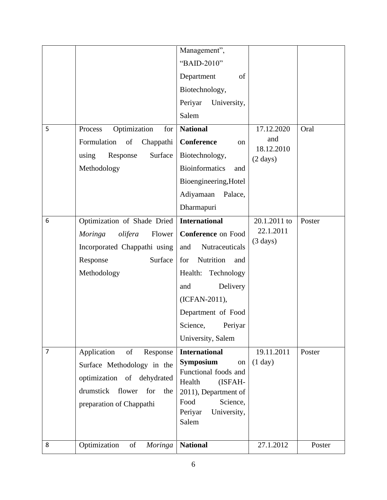| 8              | Optimization<br>of<br><b>Moringa</b>                                                                                                                       | <b>National</b>                                                                                                                                                                                                                      | 27.1.2012                                                             | Poster         |
|----------------|------------------------------------------------------------------------------------------------------------------------------------------------------------|--------------------------------------------------------------------------------------------------------------------------------------------------------------------------------------------------------------------------------------|-----------------------------------------------------------------------|----------------|
|                | Application<br>of<br>Response<br>Surface Methodology in the<br>optimization of dehydrated<br>drumstick<br>flower<br>for<br>the<br>preparation of Chappathi | Symposium<br>on<br>Functional foods and<br>Health<br>(ISFAH-<br>2011), Department of<br>Food<br>Science,<br>Periyar<br>University,<br>Salem                                                                                          | (1 day)                                                               | Poster         |
| $\overline{7}$ | Moringa<br>olifera<br>Flower<br>Incorporated Chappathi using<br>Response<br>Surface<br>Methodology                                                         | <b>Conference</b> on Food<br>and<br>Nutraceuticals<br>Nutrition<br>for<br>and<br>Health:<br>Technology<br>Delivery<br>and<br>(ICFAN-2011),<br>Department of Food<br>Science,<br>Periyar<br>University, Salem<br><b>International</b> | 22.1.2011<br>$(3 \text{ days})$<br>19.11.2011                         |                |
| 5<br>6         | Optimization<br>Process<br>for<br>Formulation<br>of<br>Chappathi<br>using<br>Surface<br>Response<br>Methodology<br>Optimization of Shade Dried             | <b>National</b><br><b>Conference</b><br>on<br>Biotechnology,<br><b>Bioinformatics</b><br>and<br>Bioengineering, Hotel<br>Adiyamaan<br>Palace,<br>Dharmapuri<br><b>International</b>                                                  | 17.12.2020<br>and<br>18.12.2010<br>$(2 \text{ days})$<br>20.1.2011 to | Oral<br>Poster |
|                |                                                                                                                                                            | Management",<br>"BAID-2010"<br>Department<br>of<br>Biotechnology,<br>Periyar<br>University,<br>Salem                                                                                                                                 |                                                                       |                |
|                |                                                                                                                                                            |                                                                                                                                                                                                                                      |                                                                       |                |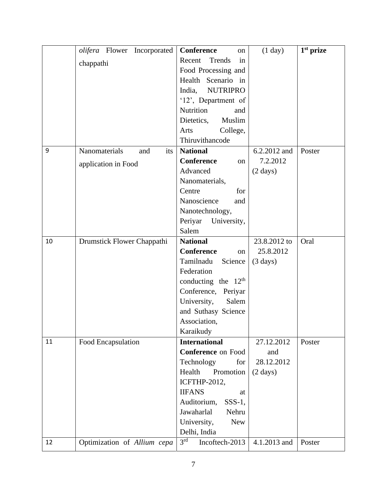|    | olifera Flower Incorporated | Conference<br>on                   | (1 day)            | $1st$ prize |
|----|-----------------------------|------------------------------------|--------------------|-------------|
|    | chappathi                   | Trends<br>Recent<br>in             |                    |             |
|    |                             | Food Processing and                |                    |             |
|    |                             | Health Scenario in                 |                    |             |
|    |                             | <b>NUTRIPRO</b><br>India,          |                    |             |
|    |                             | '12', Department of                |                    |             |
|    |                             | Nutrition<br>and                   |                    |             |
|    |                             | Muslim<br>Dietetics,               |                    |             |
|    |                             | College,<br>Arts                   |                    |             |
|    |                             | Thiruvithancode                    |                    |             |
| 9  | Nanomaterials<br>and<br>its | <b>National</b>                    | 6.2.2012 and       | Poster      |
|    | application in Food         | <b>Conference</b><br>on            | 7.2.2012           |             |
|    |                             | Advanced                           | $(2 \text{ days})$ |             |
|    |                             | Nanomaterials,                     |                    |             |
|    |                             | Centre<br>for                      |                    |             |
|    |                             | Nanoscience<br>and                 |                    |             |
|    |                             | Nanotechnology,                    |                    |             |
|    |                             | Periyar<br>University,             |                    |             |
|    |                             | Salem                              |                    |             |
| 10 | Drumstick Flower Chappathi  | <b>National</b>                    | 23.8.2012 to       | Oral        |
|    |                             | <b>Conference</b><br><sub>on</sub> | 25.8.2012          |             |
|    |                             | Tamilnadu<br>Science               | $(3 \text{ days})$ |             |
|    |                             | Federation                         |                    |             |
|    |                             | conducting the $12th$              |                    |             |
|    |                             | Conference, Periyar                |                    |             |
|    |                             | University,<br>Salem               |                    |             |
|    |                             | and Suthasy Science                |                    |             |
|    |                             | Association,                       |                    |             |
|    |                             | Karaikudy                          |                    |             |
| 11 | Food Encapsulation          | <b>International</b>               | 27.12.2012         | Poster      |
|    |                             | <b>Conference on Food</b>          | and                |             |
|    |                             | Technology<br>for                  | 28.12.2012         |             |
|    |                             | Health<br>Promotion                | $(2 \text{ days})$ |             |
|    |                             | <b>ICFTHP-2012,</b>                |                    |             |
|    |                             | <b>IIFANS</b><br>at                |                    |             |
|    |                             | Auditorium,<br>$SSS-1$ ,           |                    |             |
|    |                             | Jawaharlal<br>Nehru                |                    |             |
|    |                             | University,<br><b>New</b>          |                    |             |
|    |                             | Delhi, India                       |                    |             |
| 12 | Optimization of Allium cepa | 3 <sup>rd</sup><br>Incoftech-2013  | 4.1.2013 and       | Poster      |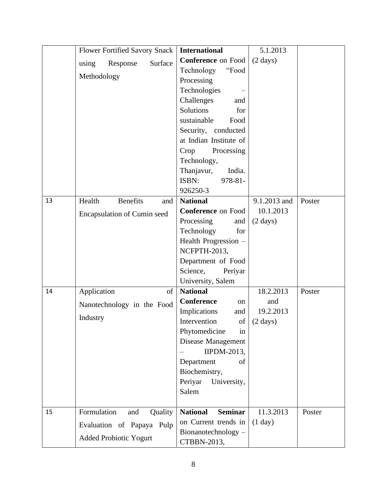|    | <b>Flower Fortified Savory Snack</b> | <b>International</b>                 | 5.1.2013               |
|----|--------------------------------------|--------------------------------------|------------------------|
|    | Response<br>Surface<br>using         | <b>Conference</b> on Food            | $(2 \text{ days})$     |
|    |                                      | Technology<br>"Food                  |                        |
|    | Methodology                          | Processing                           |                        |
|    |                                      | Technologies                         |                        |
|    |                                      | Challenges<br>and                    |                        |
|    |                                      | Solutions<br>for                     |                        |
|    |                                      | sustainable<br>Food                  |                        |
|    |                                      | Security, conducted                  |                        |
|    |                                      | at Indian Institute of               |                        |
|    |                                      | Crop<br>Processing                   |                        |
|    |                                      | Technology,                          |                        |
|    |                                      | Thanjavur,<br>India.                 |                        |
|    |                                      | 978-81-<br>ISBN:                     |                        |
|    |                                      | 926250-3                             |                        |
| 13 | Health<br><b>Benefits</b><br>and     | <b>National</b>                      | 9.1.2013 and<br>Poster |
|    | <b>Encapsulation of Cumin seed</b>   | <b>Conference</b> on Food            | 10.1.2013              |
|    |                                      | Processing<br>and                    | $(2 \text{ days})$     |
|    |                                      | Technology<br>for                    |                        |
|    |                                      | Health Progression -                 |                        |
|    |                                      | NCFPTH-2013,                         |                        |
|    |                                      | Department of Food                   |                        |
|    |                                      | Science,<br>Periyar                  |                        |
| 14 | Application<br>of                    | University, Salem<br><b>National</b> | 18.2.2013<br>Poster    |
|    |                                      | <b>Conference</b><br>on              | and                    |
|    | Nanotechnology in the Food           | Implications<br>and                  | 19.2.2013              |
|    | Industry                             | Intervention<br>of                   | $(2 \text{ days})$     |
|    |                                      | Phytomedicine<br>in                  |                        |
|    |                                      | Disease Management                   |                        |
|    |                                      | <b>IIPDM-2013,</b>                   |                        |
|    |                                      | Department<br>of                     |                        |
|    |                                      | Biochemistry,                        |                        |
|    |                                      | Periyar<br>University,               |                        |
|    |                                      | Salem                                |                        |
|    |                                      |                                      |                        |
| 15 | Formulation<br>and<br>Quality        | <b>Seminar</b><br><b>National</b>    | 11.3.2013<br>Poster    |
|    | Evaluation of Papaya<br>Pulp         | on Current trends in                 | (1 day)                |
|    |                                      | Bionanotechnology -                  |                        |
|    | <b>Added Probiotic Yogurt</b>        | CTBBN-2013,                          |                        |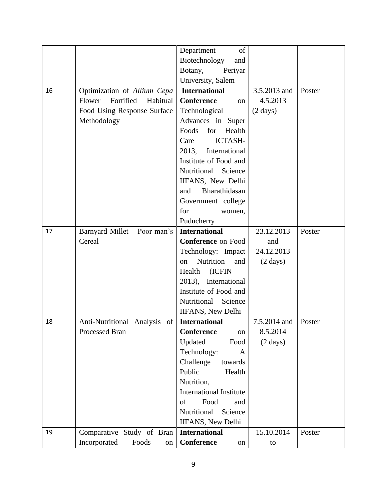|    |                                 | of<br>Department                  |                    |        |
|----|---------------------------------|-----------------------------------|--------------------|--------|
|    |                                 | Biotechnology<br>and              |                    |        |
|    |                                 | Botany,<br>Periyar                |                    |        |
|    |                                 | University, Salem                 |                    |        |
| 16 | Optimization of Allium Cepa     | <b>International</b>              | 3.5.2013 and       | Poster |
|    | Fortified<br>Flower<br>Habitual | <b>Conference</b><br>on           | 4.5.2013           |        |
|    | Food Using Response Surface     | Technological                     | $(2 \text{ days})$ |        |
|    | Methodology                     | Advances in Super                 |                    |        |
|    |                                 | Foods<br>for<br>Health            |                    |        |
|    |                                 | ICTASH-<br>Care<br>$\equiv$       |                    |        |
|    |                                 | 2013,<br>International            |                    |        |
|    |                                 | Institute of Food and             |                    |        |
|    |                                 | Nutritional<br>Science            |                    |        |
|    |                                 | IIFANS, New Delhi                 |                    |        |
|    |                                 | Bharathidasan<br>and              |                    |        |
|    |                                 | Government college                |                    |        |
|    |                                 | for<br>women,                     |                    |        |
|    |                                 | Puducherry                        |                    |        |
| 17 | Barnyard Millet - Poor man's    | <b>International</b>              | 23.12.2013         | Poster |
|    | Cereal                          | <b>Conference</b> on Food         | and                |        |
|    |                                 | Technology: Impact                | 24.12.2013         |        |
|    |                                 | Nutrition<br>and<br><sub>on</sub> | $(2 \text{ days})$ |        |
|    |                                 | (ICFIN<br>Health                  |                    |        |
|    |                                 | 2013), International              |                    |        |
|    |                                 | Institute of Food and             |                    |        |
|    |                                 | Nutritional<br>Science            |                    |        |
|    |                                 | <b>IIFANS</b> , New Delhi         |                    |        |
| 18 | of<br>Anti-Nutritional Analysis | <b>International</b>              | 7.5.2014 and       | Poster |
|    | Processed Bran                  | Conference<br>on                  | 8.5.2014           |        |
|    |                                 | Updated<br>Food                   | $(2 \text{ days})$ |        |
|    |                                 | Technology:<br>A                  |                    |        |
|    |                                 | Challenge<br>towards              |                    |        |
|    |                                 | Public<br>Health                  |                    |        |
|    |                                 | Nutrition,                        |                    |        |
|    |                                 | <b>International Institute</b>    |                    |        |
|    |                                 | of<br>Food<br>and                 |                    |        |
|    |                                 | Nutritional<br>Science            |                    |        |
|    |                                 | <b>IIFANS</b> , New Delhi         |                    |        |
| 19 | Comparative Study of Bran       | <b>International</b>              | 15.10.2014         | Poster |
|    | Incorporated<br>Foods<br>on     | Conference<br>on                  | to                 |        |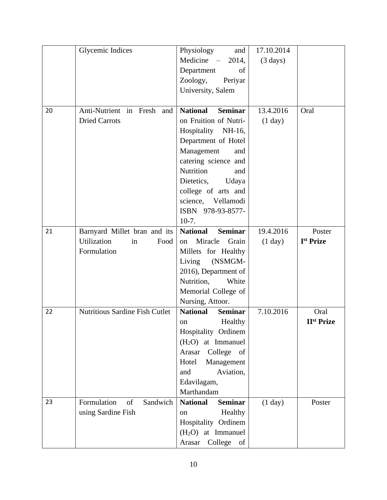|    | <b>Glycemic Indices</b>        | Physiology<br>and                                         | 17.10.2014         |                       |
|----|--------------------------------|-----------------------------------------------------------|--------------------|-----------------------|
|    |                                | Medicine –<br>2014,                                       | $(3 \text{ days})$ |                       |
|    |                                | Department<br>of                                          |                    |                       |
|    |                                | Zoology,<br>Periyar                                       |                    |                       |
|    |                                | University, Salem                                         |                    |                       |
|    |                                |                                                           |                    |                       |
| 20 | Anti-Nutrient in Fresh and     | <b>National</b><br><b>Seminar</b>                         | 13.4.2016          | Oral                  |
|    | <b>Dried Carrots</b>           | on Fruition of Nutri-                                     | (1 day)            |                       |
|    |                                | Hospitality NH-16,                                        |                    |                       |
|    |                                | Department of Hotel                                       |                    |                       |
|    |                                | Management<br>and                                         |                    |                       |
|    |                                | catering science and                                      |                    |                       |
|    |                                | Nutrition<br>and                                          |                    |                       |
|    |                                | Dietetics,<br>Udaya                                       |                    |                       |
|    |                                | college of arts and                                       |                    |                       |
|    |                                | science, Vellamodi                                        |                    |                       |
|    |                                | ISBN 978-93-8577-                                         |                    |                       |
|    |                                | $10-7.$                                                   |                    |                       |
| 21 | Barnyard Millet bran and its   | <b>Seminar</b><br><b>National</b>                         | 19.4.2016          | Poster                |
|    | Utilization<br>Food<br>in      | Miracle<br>Grain<br>on                                    | (1 day)            | I <sup>st</sup> Prize |
|    | Formulation                    | Millets for Healthy                                       |                    |                       |
|    |                                | (NSMGM-<br>Living                                         |                    |                       |
|    |                                | 2016), Department of                                      |                    |                       |
|    |                                | Nutrition,<br>White                                       |                    |                       |
|    |                                | Memorial College of                                       |                    |                       |
|    |                                | Nursing, Attoor.                                          |                    |                       |
| 22 | Nutritious Sardine Fish Cutlet | <b>National</b><br><b>Seminar</b>                         | 7.10.2016          | Oral                  |
|    |                                | Healthy<br>on                                             |                    | <b>IIst Prize</b>     |
|    |                                | Hospitality Ordinem                                       |                    |                       |
|    |                                | $(H2O)$ at Immanuel                                       |                    |                       |
|    |                                | College<br>Arasar<br>of                                   |                    |                       |
|    |                                | Management<br>Hotel                                       |                    |                       |
|    |                                | and<br>Aviation,                                          |                    |                       |
|    |                                | Edavilagam,                                               |                    |                       |
|    |                                | Marthandam                                                |                    |                       |
| 23 | Formulation<br>of<br>Sandwich  | <b>National</b><br><b>Seminar</b>                         | (1 day)            | Poster                |
|    | using Sardine Fish             | Healthy<br>on                                             |                    |                       |
|    |                                | Hospitality Ordinem                                       |                    |                       |
|    |                                |                                                           |                    |                       |
|    |                                | $(H2O)$ at Immanuel<br>Arasar<br>College<br><sub>of</sub> |                    |                       |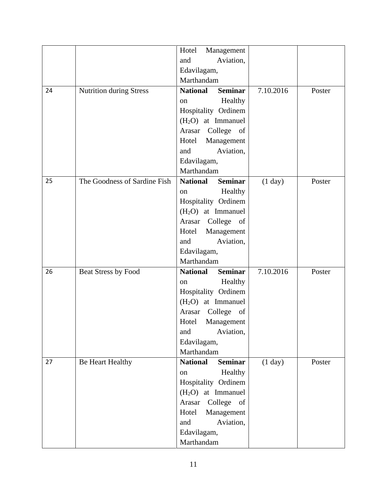|    |                                | Hotel<br>Management               |           |        |
|----|--------------------------------|-----------------------------------|-----------|--------|
|    |                                | Aviation,<br>and                  |           |        |
|    |                                | Edavilagam,                       |           |        |
|    |                                | Marthandam                        |           |        |
| 24 | <b>Nutrition during Stress</b> | <b>National</b><br><b>Seminar</b> | 7.10.2016 | Poster |
|    |                                | Healthy<br>on                     |           |        |
|    |                                | Hospitality Ordinem               |           |        |
|    |                                | $(H2O)$ at Immanuel               |           |        |
|    |                                | Arasar College of                 |           |        |
|    |                                | Hotel<br>Management               |           |        |
|    |                                | Aviation,<br>and                  |           |        |
|    |                                | Edavilagam,                       |           |        |
|    |                                | Marthandam                        |           |        |
| 25 | The Goodness of Sardine Fish   | <b>National</b><br><b>Seminar</b> | (1 day)   | Poster |
|    |                                | Healthy<br>on                     |           |        |
|    |                                | Hospitality Ordinem               |           |        |
|    |                                | (H <sub>2</sub> O) at Immanuel    |           |        |
|    |                                | Arasar College of                 |           |        |
|    |                                | Hotel<br>Management               |           |        |
|    |                                | Aviation,<br>and                  |           |        |
|    |                                | Edavilagam,                       |           |        |
|    |                                | Marthandam                        |           |        |
| 26 | Beat Stress by Food            | Seminar<br><b>National</b>        | 7.10.2016 | Poster |
|    |                                | Healthy<br><sub>on</sub>          |           |        |
|    |                                | Hospitality Ordinem               |           |        |
|    |                                | (H <sub>2</sub> O) at Immanuel    |           |        |
|    |                                | College of<br>Arasar              |           |        |
|    |                                | Management<br>Hotel               |           |        |
|    |                                | and<br>Aviation,                  |           |        |
|    |                                | Edavilagam,                       |           |        |
|    |                                | Marthandam                        |           |        |
| 27 | Be Heart Healthy               | <b>National</b><br><b>Seminar</b> | (1 day)   | Poster |
|    |                                | Healthy<br>on                     |           |        |
|    |                                | Hospitality Ordinem               |           |        |
|    |                                | $(H2O)$ at Immanuel               |           |        |
|    |                                | Arasar<br>College of              |           |        |
|    |                                | Management<br>Hotel               |           |        |
|    |                                | Aviation,<br>and                  |           |        |
|    |                                | Edavilagam,                       |           |        |
|    |                                | Marthandam                        |           |        |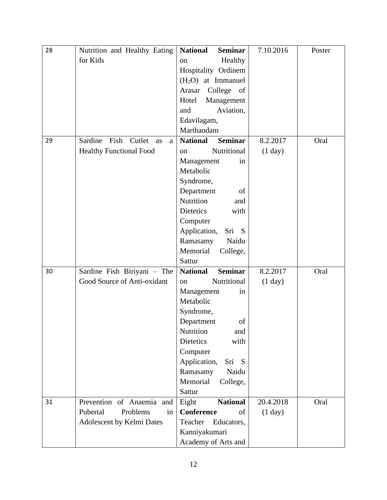| 28 | Nutrition and Healthy Eating         | <b>National</b><br><b>Seminar</b> | 7.10.2016 | Poster |
|----|--------------------------------------|-----------------------------------|-----------|--------|
|    | for Kids                             | Healthy<br>on                     |           |        |
|    |                                      | Hospitality Ordinem               |           |        |
|    |                                      | $(H2O)$ at Immanuel               |           |        |
|    |                                      | College of<br>Arasar              |           |        |
|    |                                      | Hotel<br>Management               |           |        |
|    |                                      | and<br>Aviation,                  |           |        |
|    |                                      | Edavilagam,                       |           |        |
|    |                                      | Marthandam                        |           |        |
| 29 | Sardine<br>Fish<br>Cutlet<br>as<br>a | <b>Seminar</b><br><b>National</b> | 8.2.2017  | Oral   |
|    | <b>Healthy Functional Food</b>       | Nutritional<br><sub>on</sub>      | (1 day)   |        |
|    |                                      | Management<br>in                  |           |        |
|    |                                      | Metabolic                         |           |        |
|    |                                      | Syndrome,                         |           |        |
|    |                                      | Department<br>of                  |           |        |
|    |                                      | Nutrition<br>and                  |           |        |
|    |                                      | Dietetics<br>with                 |           |        |
|    |                                      | Computer                          |           |        |
|    |                                      | Application,<br>Sri S             |           |        |
|    |                                      | Naidu<br>Ramasamy                 |           |        |
|    |                                      | Memorial<br>College,              |           |        |
|    |                                      | Sattur                            |           |        |
| 30 | Sardine Fish Biriyani - The          | <b>Seminar</b><br><b>National</b> | 8.2.2017  | Oral   |
|    | Good Source of Anti-oxidant          | Nutritional<br>on                 | (1 day)   |        |
|    |                                      | Management<br>in                  |           |        |
|    |                                      | Metabolic                         |           |        |
|    |                                      | Syndrome,                         |           |        |
|    |                                      | Department<br>of                  |           |        |
|    |                                      | Nutrition<br>and                  |           |        |
|    |                                      | Dietetics<br>with                 |           |        |
|    |                                      | Computer                          |           |        |
|    |                                      | Application,<br>Sri S             |           |        |
|    |                                      | Naidu<br>Ramasamy                 |           |        |
|    |                                      | Memorial<br>College,              |           |        |
|    |                                      | Sattur                            |           |        |
| 31 | Prevention of Anaemia and            | <b>National</b><br>Eight          | 20.4.2018 | Oral   |
|    | Pubertal<br>Problems<br>in           | <b>Conference</b><br>of           | (1 day)   |        |
|    | Adolescent by Kelmi Dates            | Teacher<br>Educators,             |           |        |
|    |                                      | Kanniyakumari                     |           |        |
|    |                                      | Academy of Arts and               |           |        |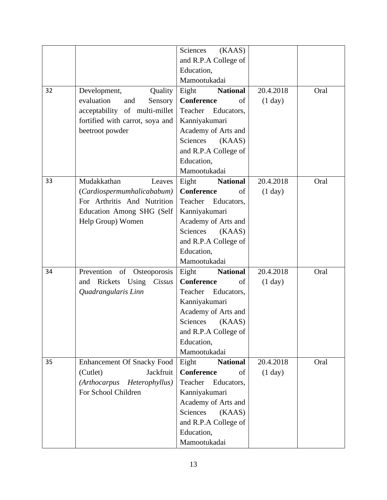|    |                                       | Sciences<br>(KAAS)       |                   |      |
|----|---------------------------------------|--------------------------|-------------------|------|
|    |                                       | and R.P.A College of     |                   |      |
|    |                                       | Education,               |                   |      |
|    |                                       | Mamootukadai             |                   |      |
| 32 | Development,<br>Quality               | Eight<br><b>National</b> | 20.4.2018         | Oral |
|    | evaluation<br>and<br>Sensory          | <b>Conference</b><br>of  | $(1 \text{ day})$ |      |
|    | acceptability of multi-millet         | Teacher Educators,       |                   |      |
|    | fortified with carrot, soya and       | Kanniyakumari            |                   |      |
|    | beetroot powder                       | Academy of Arts and      |                   |      |
|    |                                       | Sciences<br>(KAAS)       |                   |      |
|    |                                       | and R.P.A College of     |                   |      |
|    |                                       | Education,               |                   |      |
|    |                                       | Mamootukadai             |                   |      |
| 33 | Mudakkathan<br>Leaves                 | Eight<br><b>National</b> | 20.4.2018         | Oral |
|    | (Cardiospermumhalicababum)            | Conference<br>οf         | (1 day)           |      |
|    | For Arthritis And Nutrition           | Teacher<br>Educators,    |                   |      |
|    | Education Among SHG (Self             | Kanniyakumari            |                   |      |
|    | Help Group) Women                     | Academy of Arts and      |                   |      |
|    |                                       | Sciences<br>(KAAS)       |                   |      |
|    |                                       | and R.P.A College of     |                   |      |
|    |                                       | Education,               |                   |      |
|    |                                       | Mamootukadai             |                   |      |
| 34 | Prevention<br>of<br>Osteoporosis      | Eight<br><b>National</b> | 20.4.2018         | Oral |
|    | Rickets Using<br>Cissus<br>and        | <b>Conference</b><br>of  | (1 day)           |      |
|    | Quadrangularis Linn                   | Educators,<br>Teacher    |                   |      |
|    |                                       | Kanniyakumari            |                   |      |
|    |                                       | Academy of Arts and      |                   |      |
|    |                                       | Sciences<br>(KAAS)       |                   |      |
|    |                                       | and R.P.A College of     |                   |      |
|    |                                       | Education,               |                   |      |
|    |                                       | Mamootukadai             |                   |      |
| 35 | <b>Enhancement Of Snacky Food</b>     | Eight<br><b>National</b> | 20.4.2018         | Oral |
|    | (Cutlet)<br>Jackfruit                 | <b>Conference</b><br>of  | (1 day)           |      |
|    | <i>(Arthocarpus</i><br>Heterophyllus) | Teacher<br>Educators,    |                   |      |
|    | For School Children                   | Kanniyakumari            |                   |      |
|    |                                       | Academy of Arts and      |                   |      |
|    |                                       | Sciences<br>(KAAS)       |                   |      |
|    |                                       | and R.P.A College of     |                   |      |
|    |                                       | Education,               |                   |      |
|    |                                       | Mamootukadai             |                   |      |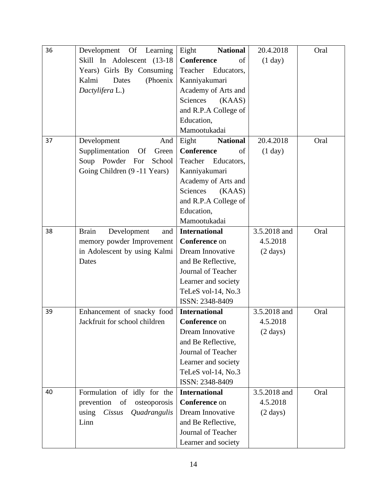| 36 | Development Of Learning               | <b>National</b><br>Eight | 20.4.2018          | Oral |
|----|---------------------------------------|--------------------------|--------------------|------|
|    | Skill In Adolescent (13-18)           | <b>Conference</b><br>of  | (1 day)            |      |
|    | Years) Girls By Consuming             | Teacher<br>Educators,    |                    |      |
|    | Kalmi<br>Dates<br>(Phoenix)           | Kanniyakumari            |                    |      |
|    | Dactylifera L.)                       | Academy of Arts and      |                    |      |
|    |                                       | Sciences<br>(KAAS)       |                    |      |
|    |                                       | and R.P.A College of     |                    |      |
|    |                                       | Education,               |                    |      |
|    |                                       | Mamootukadai             |                    |      |
| 37 | Development<br>And                    | Eight<br><b>National</b> | 20.4.2018          | Oral |
|    | Supplimentation<br><b>Of</b><br>Green | <b>Conference</b><br>of  | (1 day)            |      |
|    | Soup Powder For<br>School             | Teacher<br>Educators,    |                    |      |
|    | Going Children (9 -11 Years)          | Kanniyakumari            |                    |      |
|    |                                       | Academy of Arts and      |                    |      |
|    |                                       | Sciences<br>(KAAS)       |                    |      |
|    |                                       | and R.P.A College of     |                    |      |
|    |                                       | Education,               |                    |      |
|    |                                       | Mamootukadai             |                    |      |
| 38 | Development<br><b>Brain</b><br>and    | <b>International</b>     | 3.5.2018 and       | Oral |
|    | memory powder Improvement             | <b>Conference</b> on     | 4.5.2018           |      |
|    | in Adolescent by using Kalmi          | Dream Innovative         | $(2 \text{ days})$ |      |
|    | Dates                                 | and Be Reflective,       |                    |      |
|    |                                       | Journal of Teacher       |                    |      |
|    |                                       | Learner and society      |                    |      |
|    |                                       | TeLeS vol-14, No.3       |                    |      |
|    |                                       | ISSN: 2348-8409          |                    |      |
| 39 | Enhancement of snacky food            | <b>International</b>     | 3.5.2018 and       | Oral |
|    | Jackfruit for school children         | <b>Conference</b> on     | 4.5.2018           |      |
|    |                                       | Dream Innovative         | $(2 \text{ days})$ |      |
|    |                                       | and Be Reflective,       |                    |      |
|    |                                       | Journal of Teacher       |                    |      |
|    |                                       | Learner and society      |                    |      |
|    |                                       | TeLeS vol-14, No.3       |                    |      |
|    |                                       | ISSN: 2348-8409          |                    |      |
| 40 | Formulation of idly for the           | <b>International</b>     | 3.5.2018 and       | Oral |
|    | prevention<br>osteoporosis<br>of      | <b>Conference</b> on     | 4.5.2018           |      |
|    | Quadrangulis<br>using<br>Cissus       | Dream Innovative         | $(2 \text{ days})$ |      |
|    | Linn                                  | and Be Reflective,       |                    |      |
|    |                                       | Journal of Teacher       |                    |      |
|    |                                       | Learner and society      |                    |      |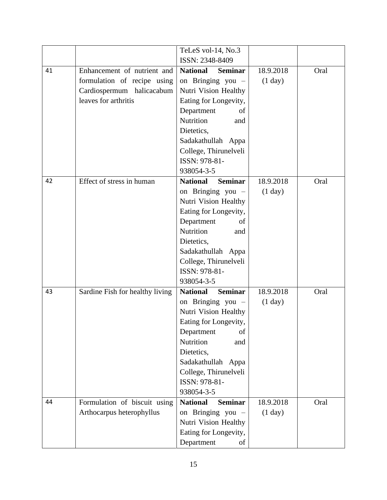| TeLeS vol-14, No.3<br>ISSN: 2348-8409<br>Enhancement of nutrient and<br><b>Seminar</b><br><b>National</b><br>18.9.2018<br>41<br>Oral<br>formulation of recipe using<br>on Bringing you -<br>(1 day)<br>Nutri Vision Healthy<br>Cardiospermum halicacabum<br>leaves for arthritis<br>Eating for Longevity,<br>Department<br>of<br>Nutrition<br>and<br>Dietetics, |
|-----------------------------------------------------------------------------------------------------------------------------------------------------------------------------------------------------------------------------------------------------------------------------------------------------------------------------------------------------------------|
|                                                                                                                                                                                                                                                                                                                                                                 |
|                                                                                                                                                                                                                                                                                                                                                                 |
|                                                                                                                                                                                                                                                                                                                                                                 |
|                                                                                                                                                                                                                                                                                                                                                                 |
|                                                                                                                                                                                                                                                                                                                                                                 |
|                                                                                                                                                                                                                                                                                                                                                                 |
|                                                                                                                                                                                                                                                                                                                                                                 |
|                                                                                                                                                                                                                                                                                                                                                                 |
| Sadakathullah Appa                                                                                                                                                                                                                                                                                                                                              |
| College, Thirunelveli                                                                                                                                                                                                                                                                                                                                           |
| ISSN: 978-81-                                                                                                                                                                                                                                                                                                                                                   |
| 938054-3-5                                                                                                                                                                                                                                                                                                                                                      |
| Effect of stress in human<br><b>Seminar</b><br><b>National</b><br>18.9.2018<br>Oral<br>42                                                                                                                                                                                                                                                                       |
| on Bringing you $-$<br>(1 day)                                                                                                                                                                                                                                                                                                                                  |
| Nutri Vision Healthy                                                                                                                                                                                                                                                                                                                                            |
| Eating for Longevity,                                                                                                                                                                                                                                                                                                                                           |
| Department<br>of                                                                                                                                                                                                                                                                                                                                                |
| Nutrition<br>and                                                                                                                                                                                                                                                                                                                                                |
| Dietetics,                                                                                                                                                                                                                                                                                                                                                      |
| Sadakathullah Appa                                                                                                                                                                                                                                                                                                                                              |
| College, Thirunelveli                                                                                                                                                                                                                                                                                                                                           |
| ISSN: 978-81-                                                                                                                                                                                                                                                                                                                                                   |
| 938054-3-5                                                                                                                                                                                                                                                                                                                                                      |
| <b>National</b><br><b>Seminar</b><br>18.9.2018<br>Sardine Fish for healthy living<br>Oral<br>43                                                                                                                                                                                                                                                                 |
| on Bringing you $-$<br>(1 day)                                                                                                                                                                                                                                                                                                                                  |
| Nutri Vision Healthy                                                                                                                                                                                                                                                                                                                                            |
| Eating for Longevity,                                                                                                                                                                                                                                                                                                                                           |
| Department<br>of                                                                                                                                                                                                                                                                                                                                                |
| Nutrition<br>and                                                                                                                                                                                                                                                                                                                                                |
| Dietetics,                                                                                                                                                                                                                                                                                                                                                      |
| Sadakathullah Appa                                                                                                                                                                                                                                                                                                                                              |
| College, Thirunelveli<br>ISSN: 978-81-                                                                                                                                                                                                                                                                                                                          |
| 938054-3-5                                                                                                                                                                                                                                                                                                                                                      |
| <b>National</b><br><b>Seminar</b><br>18.9.2018<br>Oral<br>44                                                                                                                                                                                                                                                                                                    |
| Formulation of biscuit using<br>Arthocarpus heterophyllus<br>on Bringing you -<br>(1 day)                                                                                                                                                                                                                                                                       |
| Nutri Vision Healthy                                                                                                                                                                                                                                                                                                                                            |
| Eating for Longevity,                                                                                                                                                                                                                                                                                                                                           |
| Department<br>of                                                                                                                                                                                                                                                                                                                                                |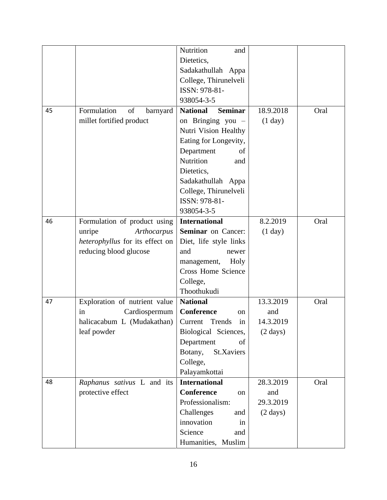|    |                                 | Nutrition<br>and                  |                    |      |
|----|---------------------------------|-----------------------------------|--------------------|------|
|    |                                 | Dietetics,                        |                    |      |
|    |                                 | Sadakathullah Appa                |                    |      |
|    |                                 | College, Thirunelveli             |                    |      |
|    |                                 | ISSN: 978-81-                     |                    |      |
|    |                                 | 938054-3-5                        |                    |      |
| 45 | Formulation<br>of<br>barnyard   | <b>National</b><br><b>Seminar</b> | 18.9.2018          | Oral |
|    | millet fortified product        | on Bringing you -                 | (1 day)            |      |
|    |                                 | Nutri Vision Healthy              |                    |      |
|    |                                 | Eating for Longevity,             |                    |      |
|    |                                 | Department<br>of                  |                    |      |
|    |                                 | Nutrition<br>and                  |                    |      |
|    |                                 | Dietetics,                        |                    |      |
|    |                                 | Sadakathullah Appa                |                    |      |
|    |                                 | College, Thirunelveli             |                    |      |
|    |                                 | ISSN: 978-81-                     |                    |      |
|    |                                 | 938054-3-5                        |                    |      |
| 46 | Formulation of product using    | <b>International</b>              | 8.2.2019           | Oral |
|    | unripe<br>Arthocarpus           | <b>Seminar</b> on Cancer:         | (1 day)            |      |
|    | heterophyllus for its effect on | Diet, life style links            |                    |      |
|    | reducing blood glucose          | and<br>newer                      |                    |      |
|    |                                 | Holy<br>management,               |                    |      |
|    |                                 | <b>Cross Home Science</b>         |                    |      |
|    |                                 | College,                          |                    |      |
|    |                                 | Thoothukudi                       |                    |      |
| 47 | Exploration of nutrient value   | <b>National</b>                   | 13.3.2019          | Oral |
|    | Cardiospermum<br>in             | <b>Conference</b><br>on           | and                |      |
|    | halicacabum L (Mudakathan)      | Current Trends<br>in              | 14.3.2019          |      |
|    | leaf powder                     | Biological Sciences,              | $(2 \text{ days})$ |      |
|    |                                 | Department<br>of                  |                    |      |
|    |                                 | Botany,<br>St.Xaviers             |                    |      |
|    |                                 | College,                          |                    |      |
|    |                                 | Palayamkottai                     |                    |      |
| 48 | Raphanus sativus L and its      | <b>International</b>              | 28.3.2019          | Oral |
|    | protective effect               | <b>Conference</b><br>on           | and                |      |
|    |                                 | Professionalism:                  | 29.3.2019          |      |
|    |                                 | Challenges<br>and                 | $(2 \text{ days})$ |      |
|    |                                 | innovation<br>in                  |                    |      |
|    |                                 | Science<br>and                    |                    |      |
|    |                                 | Humanities, Muslim                |                    |      |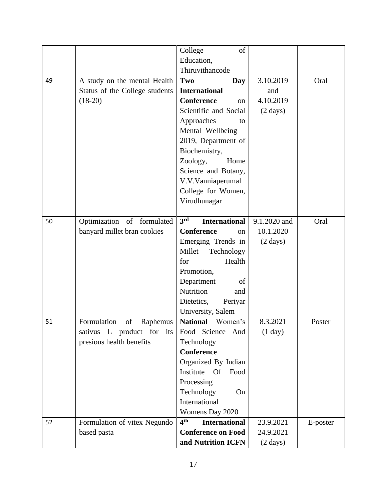|    |                                | College<br>of                           |                    |          |
|----|--------------------------------|-----------------------------------------|--------------------|----------|
|    |                                | Education,                              |                    |          |
|    |                                | Thiruvithancode                         |                    |          |
| 49 | A study on the mental Health   | Two<br>Day                              | 3.10.2019          | Oral     |
|    | Status of the College students | <b>International</b>                    | and                |          |
|    | $(18-20)$                      | <b>Conference</b><br><sub>on</sub>      | 4.10.2019          |          |
|    |                                | Scientific and Social                   | $(2 \text{ days})$ |          |
|    |                                | Approaches<br>to                        |                    |          |
|    |                                | Mental Wellbeing -                      |                    |          |
|    |                                | 2019, Department of                     |                    |          |
|    |                                | Biochemistry,                           |                    |          |
|    |                                | Zoology,<br>Home                        |                    |          |
|    |                                | Science and Botany,                     |                    |          |
|    |                                | V.V.Vanniaperumal                       |                    |          |
|    |                                | College for Women,                      |                    |          |
|    |                                | Virudhunagar                            |                    |          |
|    |                                |                                         |                    |          |
| 50 | Optimization of formulated     | 3rd<br><b>International</b>             | 9.1.2020 and       | Oral     |
|    | banyard millet bran cookies    | <b>Conference</b><br><sub>on</sub>      | 10.1.2020          |          |
|    |                                | Emerging Trends in                      | $(2 \text{ days})$ |          |
|    |                                | Millet<br>Technology                    |                    |          |
|    |                                | Health<br>for                           |                    |          |
|    |                                | Promotion,                              |                    |          |
|    |                                | Department<br>of                        |                    |          |
|    |                                | Nutrition<br>and                        |                    |          |
|    |                                | Dietetics,<br>Periyar                   |                    |          |
|    |                                | University, Salem                       |                    |          |
| 51 | Formulation<br>of<br>Raphemus  | <b>National</b><br>Women's              | 8.3.2021           | Poster   |
|    | sativus L product for its      | Food Science<br>And                     | (1 day)            |          |
|    | presious health benefits       | Technology                              |                    |          |
|    |                                | <b>Conference</b>                       |                    |          |
|    |                                | Organized By Indian                     |                    |          |
|    |                                | Institute Of<br>Food                    |                    |          |
|    |                                | Processing                              |                    |          |
|    |                                | Technology<br>On                        |                    |          |
|    |                                | International                           |                    |          |
|    |                                | Womens Day 2020                         |                    |          |
| 52 | Formulation of vitex Negundo   | 4 <sup>th</sup><br><b>International</b> | 23.9.2021          | E-poster |
|    | based pasta                    | <b>Conference on Food</b>               | 24.9.2021          |          |
|    |                                | and Nutrition ICFN                      | $(2 \text{ days})$ |          |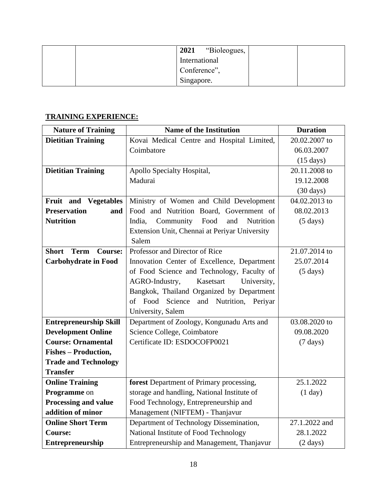| 2021<br>"Bioleogues, |  |
|----------------------|--|
| International        |  |
| Conference",         |  |
| Singapore.           |  |

## **TRAINING EXPERIENCE:**

| <b>Nature of Training</b>                     | <b>Name of the Institution</b>                         | <b>Duration</b>     |
|-----------------------------------------------|--------------------------------------------------------|---------------------|
| <b>Dietitian Training</b>                     | Kovai Medical Centre and Hospital Limited,             | 20.02.2007 to       |
|                                               | Coimbatore                                             | 06.03.2007          |
|                                               |                                                        | $(15 \text{ days})$ |
| <b>Dietitian Training</b>                     | Apollo Specialty Hospital,                             | 20.11.2008 to       |
|                                               | Madurai                                                | 19.12.2008          |
|                                               |                                                        | $(30 \text{ days})$ |
| Fruit and Vegetables                          | Ministry of Women and Child Development                | 04.02.2013 to       |
| <b>Preservation</b><br>and                    | Food and Nutrition Board, Government of                | 08.02.2013          |
| <b>Nutrition</b>                              | Community<br>Food<br><b>Nutrition</b><br>India,<br>and | $(5 \text{ days})$  |
|                                               | Extension Unit, Chennai at Periyar University          |                     |
|                                               | Salem                                                  |                     |
| <b>Short</b><br><b>Term</b><br><b>Course:</b> | Professor and Director of Rice                         | 21.07.2014 to       |
| <b>Carbohydrate in Food</b>                   | Innovation Center of Excellence, Department            | 25.07.2014          |
|                                               | of Food Science and Technology, Faculty of             | $(5 \text{ days})$  |
|                                               | AGRO-Industry,<br>Kasetsart<br>University,             |                     |
|                                               | Bangkok, Thailand Organized by Department              |                     |
|                                               | of Food Science<br>and Nutrition, Periyar              |                     |
|                                               | University, Salem                                      |                     |
| <b>Entrepreneurship Skill</b>                 | Department of Zoology, Kongunadu Arts and              | 03.08.2020 to       |
| <b>Development Online</b>                     | Science College, Coimbatore                            | 09.08.2020          |
| <b>Course: Ornamental</b>                     | Certificate ID: ESDOCOFP0021                           | $(7 \text{ days})$  |
| <b>Fishes - Production,</b>                   |                                                        |                     |
| <b>Trade and Technology</b>                   |                                                        |                     |
| <b>Transfer</b>                               |                                                        |                     |
| <b>Online Training</b>                        | forest Department of Primary processing,               | 25.1.2022           |
| Programme on                                  | storage and handling, National Institute of            | (1 day)             |
| <b>Processing and value</b>                   | Food Technology, Entrepreneurship and                  |                     |
| addition of minor                             | Management (NIFTEM) - Thanjavur                        |                     |
| <b>Online Short Term</b>                      | Department of Technology Dissemination,                | 27.1.2022 and       |
| <b>Course:</b>                                | National Institute of Food Technology                  | 28.1.2022           |
| Entrepreneurship                              | Entrepreneurship and Management, Thanjavur             | $(2 \text{ days})$  |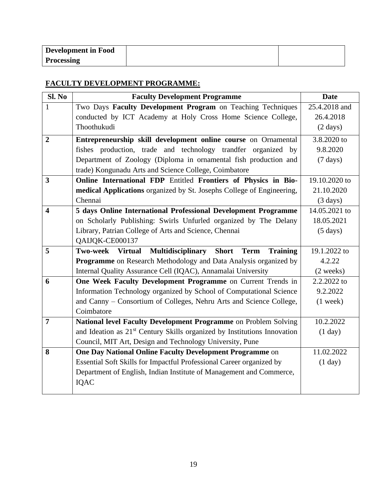| Development in Food |  |
|---------------------|--|
| <b>Processing</b>   |  |

#### **FACULTY DEVELOPMENT PROGRAMME:**

| Sl. No                  | <b>Faculty Development Programme</b>                                                 | <b>Date</b>        |
|-------------------------|--------------------------------------------------------------------------------------|--------------------|
| $\mathbf{1}$            | Two Days Faculty Development Program on Teaching Techniques                          | 25.4.2018 and      |
|                         | conducted by ICT Academy at Holy Cross Home Science College,                         | 26.4.2018          |
|                         | Thoothukudi                                                                          | $(2 \text{ days})$ |
| $\overline{2}$          | Entrepreneurship skill development online course on Ornamental                       | 3.8.2020 to        |
|                         | fishes production, trade and technology trandfer organized by                        | 9.8.2020           |
|                         | Department of Zoology (Diploma in ornamental fish production and                     | $(7 \text{ days})$ |
|                         | trade) Kongunadu Arts and Science College, Coimbatore                                |                    |
| $\overline{\mathbf{3}}$ | Online International FDP Entitled Frontiers of Physics in Bio-                       | 19.10.2020 to      |
|                         | medical Applications organized by St. Josephs College of Engineering,                | 21.10.2020         |
|                         | Chennai                                                                              | $(3 \text{ days})$ |
| $\overline{\mathbf{4}}$ | 5 days Online International Professional Development Programme                       | 14.05.2021 to      |
|                         | on Scholarly Publishing: Swirls Unfurled organized by The Delany                     | 18.05.2021         |
|                         | Library, Patrian College of Arts and Science, Chennai                                | $(5 \text{ days})$ |
|                         | QAIJQK-CE000137                                                                      |                    |
| 5                       | Two-week Virtual<br><b>Multidisciplinary</b><br>Short Term<br><b>Training</b>        | 19.1.2022 to       |
|                         | <b>Programme</b> on Research Methodology and Data Analysis organized by              | 4.2.22             |
|                         | Internal Quality Assurance Cell (IQAC), Annamalai University                         | (2 weeks)          |
| 6                       | One Week Faculty Development Programme on Current Trends in                          | 2.2.2022 to        |
|                         | Information Technology organized by School of Computational Science                  | 9.2.2022           |
|                         | and Canny - Consortium of Colleges, Nehru Arts and Science College,                  | $(1$ week)         |
|                         | Coimbatore                                                                           |                    |
| $\overline{7}$          | National level Faculty Development Programme on Problem Solving                      | 10.2.2022          |
|                         | and Ideation as 21 <sup>st</sup> Century Skills organized by Institutions Innovation | (1 day)            |
|                         | Council, MIT Art, Design and Technology University, Pune                             |                    |
| 8                       | <b>One Day National Online Faculty Development Programme on</b>                      | 11.02.2022         |
|                         | Essential Soft Skills for Impactful Professional Career organized by                 | (1 day)            |
|                         | Department of English, Indian Institute of Management and Commerce,                  |                    |
|                         | IQAC                                                                                 |                    |
|                         |                                                                                      |                    |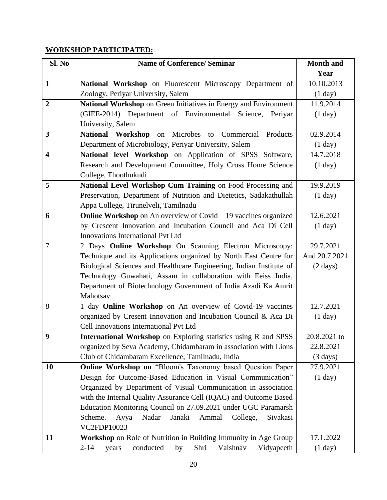## **WORKSHOP PARTICIPATED:**

| Sl. No                  | <b>Name of Conference/ Seminar</b>                                     | <b>Month and</b>   |
|-------------------------|------------------------------------------------------------------------|--------------------|
|                         |                                                                        | Year               |
| $\mathbf{1}$            | National Workshop on Fluorescent Microscopy Department of              | 10.10.2013         |
|                         | Zoology, Periyar University, Salem                                     | (1 day)            |
| $\overline{2}$          | National Workshop on Green Initiatives in Energy and Environment       | 11.9.2014          |
|                         | (GIEE-2014) Department of Environmental Science, Periyar               | (1 day)            |
|                         | University, Salem                                                      |                    |
| $\mathbf{3}$            | on Microbes to<br>National Workshop<br>Commercial<br>Products          | 02.9.2014          |
|                         | Department of Microbiology, Periyar University, Salem                  | (1 day)            |
| $\overline{\mathbf{4}}$ | National level Workshop on Application of SPSS Software,               | 14.7.2018          |
|                         | Research and Development Committee, Holy Cross Home Science            | (1 day)            |
|                         | College, Thoothukudi                                                   |                    |
| 5                       | National Level Workshop Cum Training on Food Processing and            | 19.9.2019          |
|                         | Preservation, Department of Nutrition and Dietetics, Sadakathullah     | (1 day)            |
|                         | Appa College, Tirunelveli, Tamilnadu                                   |                    |
| 6                       | <b>Online Workshop</b> on An overview of Covid – 19 vaccines organized | 12.6.2021          |
|                         | by Crescent Innovation and Incubation Council and Aca Di Cell          | (1 day)            |
|                         | <b>Innovations International Pvt Ltd</b>                               |                    |
| $\overline{7}$          | 2 Days Online Workshop On Scanning Electron Microscopy:                | 29.7.2021          |
|                         | Technique and its Applications organized by North East Centre for      | And 20.7.2021      |
|                         | Biological Sciences and Healthcare Engineering, Indian Institute of    | $(2 \text{ days})$ |
|                         | Technology Guwahati, Assam in collaboration with Eeiss India,          |                    |
|                         | Department of Biotechnology Government of India Azadi Ka Amrit         |                    |
|                         | Mahotsav                                                               |                    |
| 8                       | 1 day Online Workshop on An overview of Covid-19 vaccines              | 12.7.2021          |
|                         | organized by Cresent Innovation and Incubation Council & Aca Di        | (1 day)            |
|                         | Cell Innovations International Pvt Ltd                                 |                    |
| 9                       | International Workshop on Exploring statistics using R and SPSS        | 20.8.2021 to       |
|                         | organized by Seva Academy, Chidambaram in association with Lions       | 22.8.2021          |
|                         | Club of Chidambaram Excellence, Tamilnadu, India                       | $(3 \text{ days})$ |
| 10                      | Online Workshop on "Bloom's Taxonomy based Question Paper              | 27.9.2021          |
|                         | Design for Outcome-Based Education in Visual Communication"            | (1 day)            |
|                         | Organized by Department of Visual Communication in association         |                    |
|                         | with the Internal Quality Assurance Cell (IQAC) and Outcome Based      |                    |
|                         | Education Monitoring Council on 27.09.2021 under UGC Paramarsh         |                    |
|                         | Nadar<br>Janaki<br>Ammal<br>College,<br>Sivakasi<br>Scheme.<br>Ayya    |                    |
|                         | VC2FDP10023                                                            |                    |
| 11                      | Workshop on Role of Nutrition in Building Immunity in Age Group        | 17.1.2022          |
|                         | conducted<br>Shri<br>Vaishnav<br>$2 - 14$<br>by<br>Vidyapeeth<br>years | (1 day)            |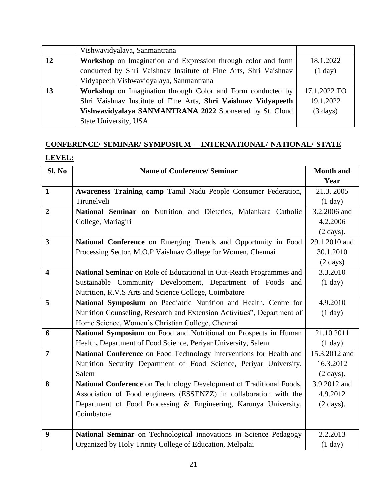|    | Vishwavidyalaya, Sanmantrana                                       |                    |
|----|--------------------------------------------------------------------|--------------------|
| 12 | Workshop on Imagination and Expression through color and form      | 18.1.2022          |
|    | conducted by Shri Vaishnav Institute of Fine Arts, Shri Vaishnav   | (1 day)            |
|    | Vidyapeeth Vishwavidyalaya, Sanmantrana                            |                    |
| 13 | <b>Workshop</b> on Imagination through Color and Form conducted by | 17.1.2022 TO       |
|    | Shri Vaishnav Institute of Fine Arts, Shri Vaishnav Vidyapeeth     | 19.1.2022          |
|    | Vishwavidyalaya SANMANTRANA 2022 Sponsered by St. Cloud            | $(3 \text{ days})$ |
|    | State University, USA                                              |                    |

# **CONFERENCE/ SEMINAR/ SYMPOSIUM – INTERNATIONAL/ NATIONAL/ STATE LEVEL:**

| Sl. No                  | <b>Name of Conference/ Seminar</b>                                      | <b>Month and</b>    |
|-------------------------|-------------------------------------------------------------------------|---------------------|
|                         |                                                                         | Year                |
| $\mathbf{1}$            | Awareness Training camp Tamil Nadu People Consumer Federation,          | 21.3.2005           |
|                         | Tirunelveli                                                             | (1 day)             |
| $\overline{2}$          | National Seminar on Nutrition and Dietetics, Malankara Catholic         | 3.2.2006 and        |
|                         | College, Mariagiri                                                      | 4.2.2006            |
|                         |                                                                         | $(2 \text{ days}).$ |
| 3                       | National Conference on Emerging Trends and Opportunity in Food          | 29.1.2010 and       |
|                         | Processing Sector, M.O.P Vaishnav College for Women, Chennai            | 30.1.2010           |
|                         |                                                                         | $(2 \text{ days})$  |
| $\overline{\mathbf{4}}$ | National Seminar on Role of Educational in Out-Reach Programmes and     | 3.3.2010            |
|                         | Sustainable Community Development, Department of Foods<br>and           | (1 day)             |
|                         | Nutrition, R.V.S Arts and Science College, Coimbatore                   |                     |
| 5                       | National Symposium on Paediatric Nutrition and Health, Centre for       | 4.9.2010            |
|                         | Nutrition Counseling, Research and Extension Activities", Department of | (1 day)             |
|                         | Home Science, Women's Christian College, Chennai                        |                     |
| 6                       | National Symposium on Food and Nutritional on Prospects in Human        | 21.10.2011          |
|                         | Health, Department of Food Science, Periyar University, Salem           | (1 day)             |
| $\overline{7}$          | National Conference on Food Technology Interventions for Health and     | 15.3.2012 and       |
|                         | Nutrition Security Department of Food Science, Periyar University,      | 16.3.2012           |
|                         | Salem                                                                   | $(2 \text{ days}).$ |
| 8                       | National Conference on Technology Development of Traditional Foods,     | 3.9.2012 and        |
|                         | Association of Food engineers (ESSENZZ) in collaboration with the       | 4.9.2012            |
|                         | Department of Food Processing & Engineering, Karunya University,        | $(2 \text{ days}).$ |
|                         | Coimbatore                                                              |                     |
|                         |                                                                         |                     |
| 9                       | National Seminar on Technological innovations in Science Pedagogy       | 2.2.2013            |
|                         | Organized by Holy Trinity College of Education, Melpalai                | (1 day)             |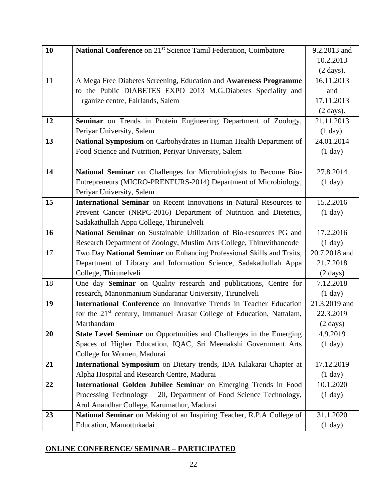| 10 | National Conference on 21 <sup>st</sup> Science Tamil Federation, Coimbatore      | 9.2.2013 and        |
|----|-----------------------------------------------------------------------------------|---------------------|
|    |                                                                                   | 10.2.2013           |
|    |                                                                                   | $(2 \text{ days}).$ |
| 11 | A Mega Free Diabetes Screening, Education and Awareness Programme                 | 16.11.2013          |
|    | to the Public DIABETES EXPO 2013 M.G.Diabetes Speciality and                      | and                 |
|    | rganize centre, Fairlands, Salem                                                  | 17.11.2013          |
|    |                                                                                   | $(2 \text{ days}).$ |
| 12 | Seminar on Trends in Protein Engineering Department of Zoology,                   | 21.11.2013          |
|    | Periyar University, Salem                                                         | $(1$ day).          |
| 13 | National Symposium on Carbohydrates in Human Health Department of                 | 24.01.2014          |
|    | Food Science and Nutrition, Periyar University, Salem                             | (1 day)             |
|    |                                                                                   |                     |
| 14 | National Seminar on Challenges for Microbiologists to Become Bio-                 | 27.8.2014           |
|    | Entrepreneurs (MICRO-PRENEURS-2014) Department of Microbiology,                   | (1 day)             |
|    | Periyar University, Salem                                                         |                     |
| 15 | <b>International Seminar</b> on Recent Innovations in Natural Resources to        | 15.2.2016           |
|    | Prevent Cancer (NRPC-2016) Department of Nutrition and Dietetics,                 | (1 day)             |
|    | Sadakathullah Appa College, Thirunelveli                                          |                     |
| 16 | National Seminar on Sustainable Utilization of Bio-resources PG and               | 17.2.2016           |
|    | Research Department of Zoology, Muslim Arts College, Thiruvithancode              | (1 day)             |
| 17 | Two Day National Seminar on Enhancing Professional Skills and Traits,             | 20.7.2018 and       |
|    | Department of Library and Information Science, Sadakathullah Appa                 | 21.7.2018           |
|    | College, Thirunelveli                                                             | $(2 \text{ days})$  |
| 18 | One day Seminar on Quality research and publications, Centre for                  | 7.12.2018           |
|    | research, Manonmanium Sundaranar University, Tirunelveli                          | (1 day)             |
| 19 | International Conference on Innovative Trends in Teacher Education                | 21.3.2019 and       |
|    | for the 21 <sup>st</sup> century, Immanuel Arasar College of Education, Nattalam, | 22.3.2019           |
|    | Marthandam                                                                        | $(2 \text{ days})$  |
| 20 | State Level Seminar on Opportunities and Challenges in the Emerging               | 4.9.2019            |
|    | Spaces of Higher Education, IQAC, Sri Meenakshi Government Arts                   | (1 day)             |
|    | College for Women, Madurai                                                        |                     |
| 21 | International Symposium on Dietary trends, IDA Kilakarai Chapter at               | 17.12.2019          |
|    | Alpha Hospital and Research Centre, Madurai                                       | (1 day)             |
| 22 | International Golden Jubilee Seminar on Emerging Trends in Food                   | 10.1.2020           |
|    | Processing Technology – 20, Department of Food Science Technology,                | (1 day)             |
|    | Arul Anandhar College, Karumathur, Madurai                                        |                     |
| 23 | National Seminar on Making of an Inspiring Teacher, R.P.A College of              | 31.1.2020           |
|    | Education, Mamottukadai                                                           | (1 day)             |

## **ONLINE CONFERENCE/ SEMINAR – PARTICIPATED**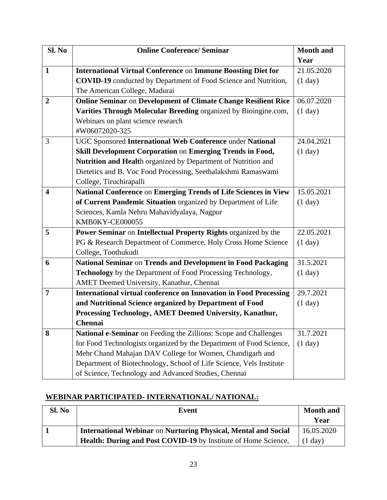| Sl. No                  | <b>Online Conference/ Seminar</b>                                        | <b>Month and</b> |
|-------------------------|--------------------------------------------------------------------------|------------------|
|                         |                                                                          | Year             |
| $\mathbf{1}$            | <b>International Virtual Conference on Immune Boosting Diet for</b>      | 21.05.2020       |
|                         | <b>COVID-19</b> conducted by Department of Food Science and Nutrition,   | (1 day)          |
|                         | The American College, Madurai                                            |                  |
| $\overline{2}$          | <b>Online Seminar on Development of Climate Change Resilient Rice</b>    | 06.07.2020       |
|                         | Varities Through Molecular Breeding organized by Bioingine.com,          | (1 day)          |
|                         | Webinars on plant science research                                       |                  |
|                         | #W06072020-325                                                           |                  |
| 3                       | UGC Sponsored International Web Conference under National                | 24.04.2021       |
|                         | Skill Development Corporation on Emerging Trends in Food,                | (1 day)          |
|                         | Nutrition and Health organized by Department of Nutrition and            |                  |
|                         | Dietetics and B. Voc Food Processing, Seethalakshmi Ramaswami            |                  |
|                         | College, Tiruchirapalli                                                  |                  |
| $\overline{\mathbf{4}}$ | National Conference on Emerging Trends of Life Sciences in View          | 15.05.2021       |
|                         | of Current Pandemic Situation organized by Department of Life            | (1 day)          |
|                         | Sciences, Kamla Nehru Mahavidyalaya, Nagpur                              |                  |
|                         | KMB0KY-CE000055                                                          |                  |
| 5                       | Power Seminar on Intellectual Property Rights organized by the           | 22.05.2021       |
|                         | PG & Research Department of Commerce, Holy Cross Home Science            | (1 day)          |
|                         | College, Toothukudi                                                      |                  |
| 6                       | National Seminar on Trends and Development in Food Packaging             | 31.5.2021        |
|                         | Technology by the Department of Food Processing Technology,              | (1 day)          |
|                         | AMET Deemed University, Kanathur, Chennai                                |                  |
| 7                       | <b>International virtual conference on Innovation in Food Processing</b> | 29.7.2021        |
|                         | and Nutritional Science organized by Department of Food                  | (1 day)          |
|                         | Processing Technology, AMET Deemed University, Kanathur,                 |                  |
|                         | Chennai                                                                  |                  |
| 8                       | National e-Seminar on Feeding the Zillions: Scope and Challenges         | 31.7.2021        |
|                         | for Food Technologists organized by the Department of Food Science,      | (1 day)          |
|                         | Mehr Chand Mahajan DAV College for Women, Chandigarh and                 |                  |
|                         | Department of Biotechnology, School of Life Science, Vels Institute      |                  |
|                         | of Science, Technology and Advanced Studies, Chennai                     |                  |

#### **WEBINAR PARTICIPATED- INTERNATIONAL/ NATIONAL:**

| Sl. No | Event                                                                 | <b>Month and</b><br>Year |
|--------|-----------------------------------------------------------------------|--------------------------|
|        | <b>International Webinar on Nurturing Physical, Mental and Social</b> | 16.05.2020               |
|        | Health: During and Post COVID-19 by Institute of Home Science,        | $(1 \text{ day})$        |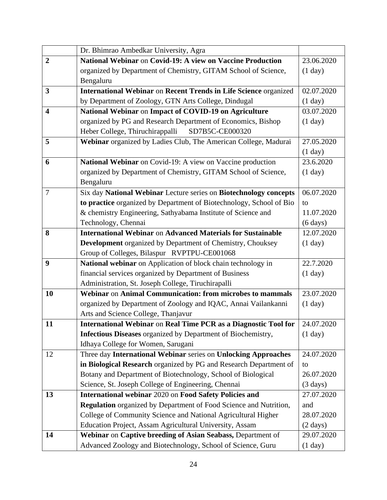|                         | Dr. Bhimrao Ambedkar University, Agra                                    |                      |
|-------------------------|--------------------------------------------------------------------------|----------------------|
| $\overline{2}$          | National Webinar on Covid-19: A view on Vaccine Production               | 23.06.2020           |
|                         | organized by Department of Chemistry, GITAM School of Science,           | (1 day)              |
|                         | Bengaluru                                                                |                      |
| 3                       | International Webinar on Recent Trends in Life Science organized         | 02.07.2020           |
|                         | by Department of Zoology, GTN Arts College, Dindugal                     | (1 day)              |
| $\overline{\mathbf{4}}$ | National Webinar on Impact of COVID-19 on Agriculture                    | 03.07.2020           |
|                         | organized by PG and Research Department of Economics, Bishop             | (1 day)              |
|                         | Heber College, Thiruchirappalli<br>SD7B5C-CE000320                       |                      |
| 5                       | Webinar organized by Ladies Club, The American College, Madurai          | 27.05.2020           |
|                         |                                                                          | $(1$ day)            |
| 6                       | National Webinar on Covid-19: A view on Vaccine production               | 23.6.2020            |
|                         | organized by Department of Chemistry, GITAM School of Science,           | (1 day)              |
|                         | Bengaluru                                                                |                      |
| $\tau$                  | Six day National Webinar Lecture series on Biotechnology concepts        | 06.07.2020           |
|                         | to practice organized by Department of Biotechnology, School of Bio      | to                   |
|                         | & chemistry Engineering, Sathyabama Institute of Science and             | 11.07.2020           |
|                         | Technology, Chennai                                                      | $(6 \, \text{days})$ |
| 8                       | <b>International Webinar on Advanced Materials for Sustainable</b>       | 12.07.2020           |
|                         | Development organized by Department of Chemistry, Chouksey               | (1 day)              |
|                         | Group of Colleges, Bilaspur RVPTPU-CE001068                              |                      |
| 9                       | National webinar on Application of block chain technology in             | 22.7.2020            |
|                         | financial services organized by Department of Business                   | (1 day)              |
|                         | Administration, St. Joseph College, Tiruchirapalli                       |                      |
| 10                      | Webinar on Animal Communication: from microbes to mammals                | 23.07.2020           |
|                         | organized by Department of Zoology and IQAC, Annai Vailankanni           | (1 day)              |
|                         | Arts and Science College, Thanjavur                                      |                      |
| 11                      | International Webinar on Real Time PCR as a Diagnostic Tool for          | 24.07.2020           |
|                         | <b>Infectious Diseases</b> organized by Department of Biochemistry,      | (1 day)              |
|                         | Idhaya College for Women, Sarugani                                       |                      |
| 12                      | Three day International Webinar series on Unlocking Approaches           | 24.07.2020           |
|                         | in Biological Research organized by PG and Research Department of        | to                   |
|                         | Botany and Department of Biotechnology, School of Biological             | 26.07.2020           |
|                         | Science, St. Joseph College of Engineering, Chennai                      | $(3 \text{ days})$   |
| 13                      | International webinar 2020 on Food Safety Policies and                   | 27.07.2020           |
|                         | <b>Regulation</b> organized by Department of Food Science and Nutrition, | and                  |
|                         | College of Community Science and National Agricultural Higher            | 28.07.2020           |
|                         | Education Project, Assam Agricultural University, Assam                  | $(2 \text{ days})$   |
| 14                      | Webinar on Captive breeding of Asian Seabass, Department of              | 29.07.2020           |
|                         | Advanced Zoology and Biotechnology, School of Science, Guru              | (1 day)              |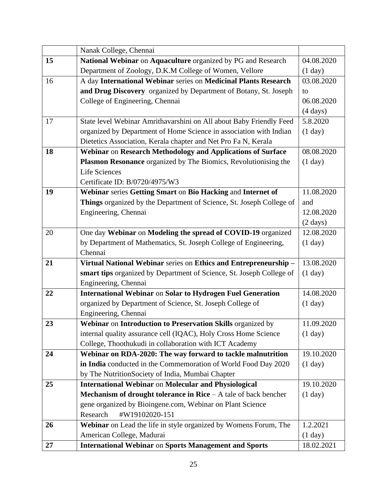|    | Nanak College, Chennai                                                   |                    |
|----|--------------------------------------------------------------------------|--------------------|
| 15 | National Webinar on Aquaculture organized by PG and Research             | 04.08.2020         |
|    | Department of Zoology, D.K.M College of Women, Vellore                   | (1 day)            |
| 16 | A day International Webinar series on Medicinal Plants Research          | 03.08.2020         |
|    | and Drug Discovery organized by Department of Botany, St. Joseph         | to                 |
|    | College of Engineering, Chennai                                          | 06.08.2020         |
|    |                                                                          | $(4 \text{ days})$ |
| 17 | State level Webinar Amrithavarshini on All about Baby Friendly Feed      | 5.8.2020           |
|    | organized by Department of Home Science in association with Indian       | (1 day)            |
|    | Dietetics Association, Kerala chapter and Net Pro Fa N, Kerala           |                    |
| 18 | Webinar on Research Methodology and Applications of Surface              | 08.08.2020         |
|    | Plasmon Resonance organized by The Biomics, Revolutionising the          | (1 day)            |
|    | <b>Life Sciences</b>                                                     |                    |
|    | Certificate ID: B/0720/4975/W3                                           |                    |
| 19 | Webinar series Getting Smart on Bio Hacking and Internet of              | 11.08.2020         |
|    | Things organized by the Department of Science, St. Joseph College of     | and                |
|    | Engineering, Chennai                                                     | 12.08.2020         |
|    |                                                                          | $(2 \text{ days})$ |
| 20 | One day Webinar on Modeling the spread of COVID-19 organized             | 12.08.2020         |
|    | by Department of Mathematics, St. Joseph College of Engineering,         | (1 day)            |
|    | Chennai                                                                  |                    |
| 21 | Virtual National Webinar series on Ethics and Entrepreneurship -         | 13.08.2020         |
|    | smart tips organized by Department of Science, St. Joseph College of     | (1 day)            |
|    | Engineering, Chennai                                                     |                    |
| 22 | <b>International Webinar on Solar to Hydrogen Fuel Generation</b>        | 14.08.2020         |
|    | organized by Department of Science, St. Joseph College of                | (1 day)            |
|    | Engineering, Chennai                                                     |                    |
| 23 | Webinar on Introduction to Preservation Skills organized by              | 11.09.2020         |
|    | internal quality assurance cell (IQAC), Holy Cross Home Science          | (1 day)            |
|    | College, Thoothukudi in collaboration with ICT Academy                   |                    |
| 24 | Webinar on RDA-2020: The way forward to tackle malnutrition              | 19.10.2020         |
|    | in India conducted in the Commemoration of World Food Day 2020           | (1 day)            |
|    | by The NutritionSociety of India, Mumbai Chapter                         |                    |
| 25 | <b>International Webinar on Molecular and Physiological</b>              | 19.10.2020         |
|    | <b>Mechanism of drought tolerance in Rice</b> $-$ A tale of back bencher | (1 day)            |
|    | gene organized by Bioingene.com, Webinar on Plant Science                |                    |
|    | Research<br>#W19102020-151                                               |                    |
| 26 | Webinar on Lead the life in style organized by Womens Forum, The         | 1.2.2021           |
|    | American College, Madurai                                                | (1 day)            |
| 27 | <b>International Webinar on Sports Management and Sports</b>             | 18.02.2021         |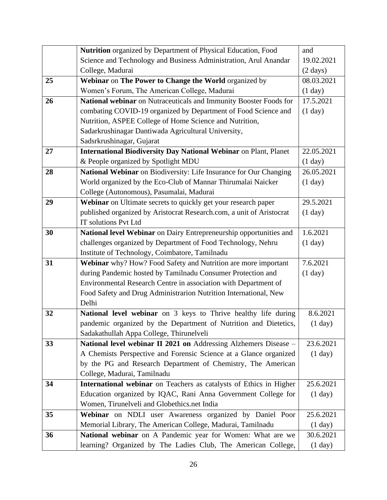|    | Nutrition organized by Department of Physical Education, Food           | and                |
|----|-------------------------------------------------------------------------|--------------------|
|    | Science and Technology and Business Administration, Arul Anandar        | 19.02.2021         |
|    | College, Madurai                                                        | $(2 \text{ days})$ |
| 25 | Webinar on The Power to Change the World organized by                   | 08.03.2021         |
|    | Women's Forum, The American College, Madurai                            | (1 day)            |
| 26 | National webinar on Nutraceuticals and Immunity Booster Foods for       | 17.5.2021          |
|    | combating COVID-19 organized by Department of Food Science and          | (1 day)            |
|    | Nutrition, ASPEE College of Home Science and Nutrition,                 |                    |
|    | Sadarkrushinagar Dantiwada Agricultural University,                     |                    |
|    | Sadsrkrushinagar, Gujarat                                               |                    |
| 27 | <b>International Biodiversity Day National Webinar on Plant, Planet</b> | 22.05.2021         |
|    | & People organized by Spotlight MDU                                     | (1 day)            |
| 28 | National Webinar on Biodiversity: Life Insurance for Our Changing       | 26.05.2021         |
|    | World organized by the Eco-Club of Mannar Thirumalai Naicker            | (1 day)            |
|    | College (Autonomous), Pasumalai, Madurai                                |                    |
| 29 | Webinar on Ultimate secrets to quickly get your research paper          | 29.5.2021          |
|    | published organized by Aristocrat Research.com, a unit of Aristocrat    | (1 day)            |
|    | <b>IT solutions Pvt Ltd</b>                                             |                    |
| 30 | National level Webinar on Dairy Entrepreneurship opportunities and      | 1.6.2021           |
|    | challenges organized by Department of Food Technology, Nehru            | (1 day)            |
|    | Institute of Technology, Coimbatore, Tamilnadu                          |                    |
| 31 | Webinar why? How? Food Safety and Nutrition are more important          | 7.6.2021           |
|    | during Pandemic hosted by Tamilnadu Consumer Protection and             | (1 day)            |
|    | Environmental Research Centre in association with Department of         |                    |
|    | Food Safety and Drug Administrarion Nutrition International, New        |                    |
|    | Delhi                                                                   |                    |
| 32 | National level webinar on 3 keys to Thrive healthy life during          | 8.6.2021           |
|    | pandemic organized by the Department of Nutrition and Dietetics,        | (1 day)            |
|    | Sadakathullah Appa College, Thirunelveli                                |                    |
| 33 | National level webinar II 2021 on Addressing Alzhemers Disease -        | 23.6.2021          |
|    | A Chemists Perspective and Forensic Science at a Glance organized       | (1 day)            |
|    | by the PG and Research Department of Chemistry, The American            |                    |
|    | College, Madurai, Tamilnadu                                             |                    |
| 34 | International webinar on Teachers as catalysts of Ethics in Higher      | 25.6.2021          |
|    | Education organized by IQAC, Rani Anna Government College for           | (1 day)            |
|    | Women, Tirunelveli and Globethics.net India                             |                    |
| 35 | Webinar on NDLI user Awareness organized by Daniel Poor                 | 25.6.2021          |
|    | Memorial Library, The American College, Madurai, Tamilnadu              | (1 day)            |
| 36 | National webinar on A Pandemic year for Women: What are we              | 30.6.2021          |
|    | learning? Organized by The Ladies Club, The American College,           | (1 day)            |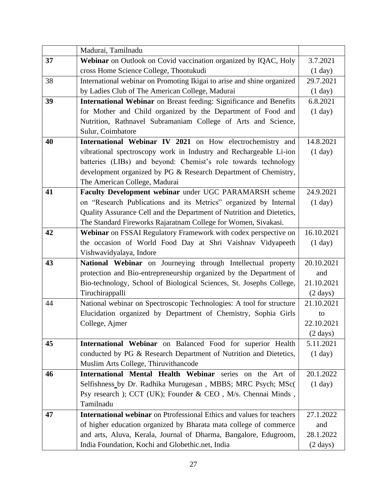|    | Madurai, Tamilnadu                                                           |                    |
|----|------------------------------------------------------------------------------|--------------------|
| 37 | Webinar on Outlook on Covid vaccination organized by IQAC, Holy              | 3.7.2021           |
|    | cross Home Science College, Thootukudi                                       | (1 day)            |
| 38 | International webinar on Promoting Ikigai to arise and shine organized       | 29.7.2021          |
|    | by Ladies Club of The American College, Madurai                              | (1 day)            |
| 39 | International Webinar on Breast feeding: Significance and Benefits           | 6.8.2021           |
|    | for Mother and Child organized by the Department of Food and                 | (1 day)            |
|    | Nutrition, Rathnavel Subramaniam College of Arts and Science,                |                    |
|    | Sulur, Coimbatore                                                            |                    |
| 40 | International Webinar IV 2021 on How electrochemistry and                    | 14.8.2021          |
|    | vibrational spectroscopy work in Industry and Rechargeable Li-ion            | (1 day)            |
|    | batteries (LIBs) and beyond: Chemist's role towards technology               |                    |
|    | development organized by PG & Research Department of Chemistry,              |                    |
|    | The American College, Madurai                                                |                    |
| 41 | Faculty Development webinar under UGC PARAMARSH scheme                       | 24.9.2021          |
|    | on "Research Publications and its Metrics" organized by Internal             | (1 day)            |
|    | Quality Assurance Cell and the Department of Nutrition and Dietetics,        |                    |
|    | The Standard Fireworks Rajaratnam College for Women, Sivakasi.               |                    |
| 42 | Webinar on FSSAI Regulatory Framework with codex perspective on              | 16.10.2021         |
|    | the occasion of World Food Day at Shri Vaishnav Vidyapeeth                   | (1 day)            |
|    | Vishwavidyalaya, Indore                                                      |                    |
| 43 | National Webinar on Journeying through Intellectual property                 | 20.10.2021         |
|    | protection and Bio-entrepreneurship organized by the Department of           | and                |
|    | Bio-technology, School of Biological Sciences, St. Josephs College,          | 21.10.2021         |
|    | Tiruchirappalli                                                              | $(2 \text{ days})$ |
| 44 | National webinar on Spectroscopic Technologies: A tool for structure         | 21.10.2021         |
|    | Elucidation organized by Department of Chemistry, Sophia Girls               | to                 |
|    | College, Ajmer                                                               | 22.10.2021         |
|    |                                                                              | $(2 \text{ days})$ |
| 45 | International Webinar on Balanced Food for superior Health                   | 5.11.2021          |
|    | conducted by PG & Research Department of Nutrition and Dietetics,            | (1 day)            |
|    | Muslim Arts College, Thiruvithancode                                         |                    |
| 46 | International Mental Health Webinar series on the Art of                     | 20.1.2022          |
|    | Selfishness_by Dr. Radhika Murugesan, MBBS; MRC Psych; MSc(                  | (1 day)            |
|    | Psy research ); CCT (UK); Founder & CEO, M/s. Chennai Minds,                 |                    |
|    | Tamilnadu                                                                    |                    |
| 47 | <b>International webinar</b> on Ptrofessional Ethics and values for teachers | 27.1.2022          |
|    | of higher education organized by Bharata mata college of commerce            | and                |
|    | and arts, Aluva, Kerala, Journal of Dharma, Bangalore, Edugroom,             | 28.1.2022          |
|    | India Foundation, Kochi and Globethic.net, India                             | $(2 \text{ days})$ |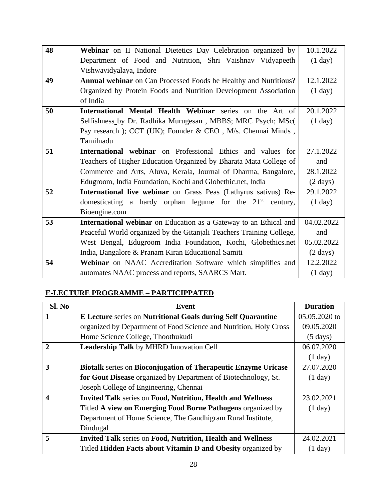| 48 | Webinar on II National Dietetics Day Celebration organized by            | 10.1.2022          |
|----|--------------------------------------------------------------------------|--------------------|
|    |                                                                          |                    |
|    | Department of Food and Nutrition, Shri Vaishnav Vidyapeeth               | (1 day)            |
|    | Vishwavidyalaya, Indore                                                  |                    |
| 49 | <b>Annual webinar</b> on Can Processed Foods be Healthy and Nutritious?  | 12.1.2022          |
|    | Organized by Protein Foods and Nutrition Development Association         | (1 day)            |
|    | of India                                                                 |                    |
| 50 | International Mental Health Webinar series on the Art of                 | 20.1.2022          |
|    | Selfishness_by Dr. Radhika Murugesan, MBBS; MRC Psych; MSc(              | (1 day)            |
|    | Psy research ); CCT (UK); Founder & CEO, M/s. Chennai Minds,             |                    |
|    | Tamilnadu                                                                |                    |
| 51 | International webinar on Professional Ethics and values for              | 27.1.2022          |
|    | Teachers of Higher Education Organized by Bharata Mata College of        | and                |
|    | Commerce and Arts, Aluva, Kerala, Journal of Dharma, Bangalore,          | 28.1.2022          |
|    | Edugroom, India Foundation, Kochi and Globethic.net, India               | $(2 \text{ days})$ |
| 52 | International live webinar on Grass Peas (Lathyrus sativus) Re-          | 29.1.2022          |
|    | domesticating a hardy orphan legume for the $21st$ century,              | (1 day)            |
|    | Bioengine.com                                                            |                    |
| 53 | <b>International webinar</b> on Education as a Gateway to an Ethical and | 04.02.2022         |
|    | Peaceful World organized by the Gitanjali Teachers Training College,     | and                |
|    | West Bengal, Edugroom India Foundation, Kochi, Globethics.net            | 05.02.2022         |
|    | India, Bangalore & Pranam Kiran Educational Samiti                       | $(2 \text{ days})$ |
| 54 | Webinar on NAAC Accreditation Software which simplifies and              | 12.2.2022          |
|    | automates NAAC process and reports, SAARCS Mart.                         | (1 day)            |

#### **E-LECTURE PROGRAMME – PARTICIPPATED**

| Sl. No         | <b>Event</b>                                                          | <b>Duration</b>    |
|----------------|-----------------------------------------------------------------------|--------------------|
| 1              | E Lecture series on Nutritional Goals during Self Quarantine          | 05.05.2020 to      |
|                | organized by Department of Food Science and Nutrition, Holy Cross     | 09.05.2020         |
|                | Home Science College, Thoothukudi                                     | $(5 \text{ days})$ |
| $\mathfrak{D}$ | Leadership Talk by MHRD Innovation Cell                               | 06.07.2020         |
|                |                                                                       | (1 day)            |
| 3              | <b>Biotalk series on Bioconjugation of Therapeutic Enzyme Uricase</b> | 27.07.2020         |
|                | for Gout Disease organized by Department of Biotechnology, St.        | (1 day)            |
|                | Joseph College of Engineering, Chennai                                |                    |
| 4              | <b>Invited Talk series on Food, Nutrition, Health and Wellness</b>    | 23.02.2021         |
|                | Titled A view on Emerging Food Borne Pathogens organized by           | (1 day)            |
|                | Department of Home Science, The Gandhigram Rural Institute,           |                    |
|                | Dindugal                                                              |                    |
| 5              | <b>Invited Talk series on Food, Nutrition, Health and Wellness</b>    | 24.02.2021         |
|                | Titled Hidden Facts about Vitamin D and Obesity organized by          | (1 day)            |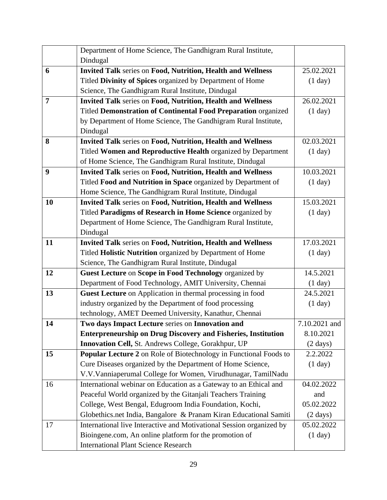|                | Department of Home Science, The Gandhigram Rural Institute,          |                    |
|----------------|----------------------------------------------------------------------|--------------------|
|                | Dindugal                                                             |                    |
| 6              | <b>Invited Talk series on Food, Nutrition, Health and Wellness</b>   | 25.02.2021         |
|                | Titled Divinity of Spices organized by Department of Home            | (1 day)            |
|                | Science, The Gandhigram Rural Institute, Dindugal                    |                    |
| $\overline{7}$ | <b>Invited Talk series on Food, Nutrition, Health and Wellness</b>   | 26.02.2021         |
|                | Titled Demonstration of Continental Food Preparation organized       | (1 day)            |
|                | by Department of Home Science, The Gandhigram Rural Institute,       |                    |
|                | Dindugal                                                             |                    |
| 8              | Invited Talk series on Food, Nutrition, Health and Wellness          | 02.03.2021         |
|                | Titled Women and Reproductive Health organized by Department         | (1 day)            |
|                | of Home Science, The Gandhigram Rural Institute, Dindugal            |                    |
| 9              | Invited Talk series on Food, Nutrition, Health and Wellness          | 10.03.2021         |
|                | Titled Food and Nutrition in Space organized by Department of        | (1 day)            |
|                | Home Science, The Gandhigram Rural Institute, Dindugal               |                    |
| 10             | <b>Invited Talk series on Food, Nutrition, Health and Wellness</b>   | 15.03.2021         |
|                | Titled Paradigms of Research in Home Science organized by            | (1 day)            |
|                | Department of Home Science, The Gandhigram Rural Institute,          |                    |
|                | Dindugal                                                             |                    |
| 11             | <b>Invited Talk series on Food, Nutrition, Health and Wellness</b>   | 17.03.2021         |
|                | Titled Holistic Nutrition organized by Department of Home            | (1 day)            |
|                | Science, The Gandhigram Rural Institute, Dindugal                    |                    |
| 12             | Guest Lecture on Scope in Food Technology organized by               | 14.5.2021          |
|                | Department of Food Technology, AMIT University, Chennai              | (1 day)            |
| 13             | Guest Lecture on Application in thermal processing in food           | 24.5.2021          |
|                | industry organized by the Department of food processing              | (1 day)            |
|                | technology, AMET Deemed University, Kanathur, Chennai                |                    |
| 14             | Two days Impact Lecture series on Innovation and                     | 7.10.2021 and      |
|                | <b>Enterpreneurship on Drug Discovery and Fisheries, Institution</b> | 8.10.2021          |
|                | Innovation Cell, St. Andrews College, Gorakhpur, UP                  | $(2 \text{ days})$ |
| 15             | Popular Lecture 2 on Role of Biotechnology in Functional Foods to    | 2.2.2022           |
|                | Cure Diseases organized by the Department of Home Science,           | (1 day)            |
|                | V.V.Vanniaperumal College for Women, Virudhunagar, TamilNadu         |                    |
| 16             | International webinar on Education as a Gateway to an Ethical and    | 04.02.2022         |
|                | Peaceful World organized by the Gitanjali Teachers Training          | and                |
|                | College, West Bengal, Edugroom India Foundation, Kochi,              | 05.02.2022         |
|                | Globethics.net India, Bangalore & Pranam Kiran Educational Samiti    | $(2 \text{ days})$ |
| 17             | International live Interactive and Motivational Session organized by | 05.02.2022         |
|                | Bioingene.com, An online platform for the promotion of               | (1 day)            |
|                | <b>International Plant Science Research</b>                          |                    |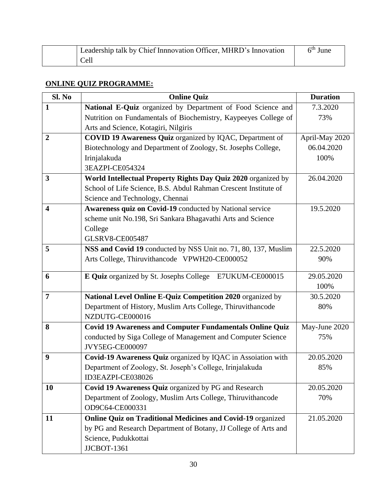| Leadership talk by Chief Innnovation Officer, MHRD's Innovation | $6th$ June |
|-----------------------------------------------------------------|------------|
| Cell                                                            |            |

#### **ONLINE QUIZ PROGRAMME:**

| Sl. No                  | <b>Online Quiz</b>                                                 | <b>Duration</b> |
|-------------------------|--------------------------------------------------------------------|-----------------|
| $\mathbf{1}$            | National E-Quiz organized by Department of Food Science and        | 7.3.2020        |
|                         | Nutrition on Fundamentals of Biochemistry, Kaypeeyes College of    | 73%             |
|                         | Arts and Science, Kotagiri, Nilgiris                               |                 |
| $\overline{2}$          | COVID 19 Awareness Quiz organized by IQAC, Department of           | April-May 2020  |
|                         | Biotechnology and Department of Zoology, St. Josephs College,      | 06.04.2020      |
|                         | Irinjalakuda                                                       | 100%            |
|                         | 3EAZPI-CE054324                                                    |                 |
| 3                       | World Intellectual Property Rights Day Quiz 2020 organized by      | 26.04.2020      |
|                         | School of Life Science, B.S. Abdul Rahman Crescent Institute of    |                 |
|                         | Science and Technology, Chennai                                    |                 |
| $\overline{\mathbf{4}}$ | Awareness quiz on Covid-19 conducted by National service           | 19.5.2020       |
|                         | scheme unit No.198, Sri Sankara Bhagavathi Arts and Science        |                 |
|                         | College                                                            |                 |
|                         | <b>GLSRV8-CE005487</b>                                             |                 |
| 5                       | NSS and Covid 19 conducted by NSS Unit no. 71, 80, 137, Muslim     | 22.5.2020       |
|                         | Arts College, Thiruvithancode VPWH20-CE000052                      | 90%             |
| 6                       | E Quiz organized by St. Josephs College E7UKUM-CE000015            | 29.05.2020      |
|                         |                                                                    | 100%            |
| $\overline{7}$          | National Level Online E-Quiz Competition 2020 organized by         | 30.5.2020       |
|                         | Department of History, Muslim Arts College, Thiruvithancode        | 80%             |
|                         | NZDUTG-CE000016                                                    |                 |
| 8                       | <b>Covid 19 Awareness and Computer Fundamentals Online Quiz</b>    | May-June 2020   |
|                         | conducted by Siga College of Management and Computer Science       | 75%             |
|                         | JVY5EG-CE000097                                                    |                 |
| 9                       | Covid-19 Awareness Quiz organized by IQAC in Assoiation with       | 20.05.2020      |
|                         | Department of Zoology, St. Joseph's College, Irinjalakuda          | 85%             |
|                         | ID3EAZPI-CE038026                                                  |                 |
| 10                      | Covid 19 Awareness Quiz organized by PG and Research               | 20.05.2020      |
|                         | Department of Zoology, Muslim Arts College, Thiruvithancode        | 70%             |
|                         | OD9C64-CE000331                                                    |                 |
| 11                      | <b>Online Quiz on Traditional Medicines and Covid-19 organized</b> | 21.05.2020      |
|                         | by PG and Research Department of Botany, JJ College of Arts and    |                 |
|                         | Science, Pudukkottai                                               |                 |
|                         | <b>JJCBOT-1361</b>                                                 |                 |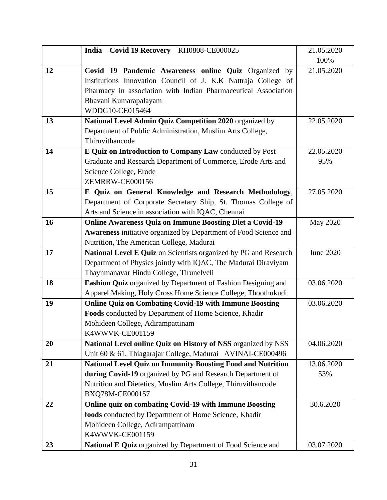|    | India - Covid 19 Recovery RH0808-CE000025                          | 21.05.2020      |
|----|--------------------------------------------------------------------|-----------------|
|    |                                                                    | 100%            |
| 12 | Covid 19 Pandemic Awareness online Quiz Organized by               | 21.05.2020      |
|    | Institutions Innovation Council of J. K.K Nattraja College of      |                 |
|    | Pharmacy in association with Indian Pharmaceutical Association     |                 |
|    | Bhavani Kumarapalayam                                              |                 |
|    | WDDG10-CE015464                                                    |                 |
| 13 | National Level Admin Quiz Competition 2020 organized by            | 22.05.2020      |
|    | Department of Public Administration, Muslim Arts College,          |                 |
|    | Thiruvithancode                                                    |                 |
| 14 | E Quiz on Introduction to Company Law conducted by Post            | 22.05.2020      |
|    | Graduate and Research Department of Commerce, Erode Arts and       | 95%             |
|    | Science College, Erode                                             |                 |
|    | ZEMRRW-CE000156                                                    |                 |
| 15 | E Quiz on General Knowledge and Research Methodology,              | 27.05.2020      |
|    | Department of Corporate Secretary Ship, St. Thomas College of      |                 |
|    | Arts and Science in association with IQAC, Chennai                 |                 |
| 16 | <b>Online Awareness Quiz on Immune Boosting Diet a Covid-19</b>    | <b>May 2020</b> |
|    | Awareness initiative organized by Department of Food Science and   |                 |
|    | Nutrition, The American College, Madurai                           |                 |
| 17 | National Level E Quiz on Scientists organized by PG and Research   | June 2020       |
|    | Department of Physics jointly with IQAC, The Madurai Diraviyam     |                 |
|    | Thaynmanavar Hindu College, Tirunelveli                            |                 |
| 18 | Fashion Quiz organized by Department of Fashion Designing and      | 03.06.2020      |
|    | Apparel Making, Holy Cross Home Science College, Thoothukudi       |                 |
| 19 | <b>Online Quiz on Combating Covid-19 with Immune Boosting</b>      | 03.06.2020      |
|    | Foods conducted by Department of Home Science, Khadir              |                 |
|    | Mohideen College, Adirampattinam                                   |                 |
|    | K4WWVK-CE001159                                                    |                 |
| 20 | National Level online Quiz on History of NSS organized by NSS      | 04.06.2020      |
|    | Unit 60 & 61, Thiagarajar College, Madurai AVINAI-CE000496         |                 |
| 21 | <b>National Level Quiz on Immunity Boosting Food and Nutrition</b> | 13.06.2020      |
|    | during Covid-19 organized by PG and Research Department of         | 53%             |
|    | Nutrition and Dietetics, Muslim Arts College, Thiruvithancode      |                 |
|    | BXQ78M-CE000157                                                    |                 |
| 22 | Online quiz on combating Covid-19 with Immune Boosting             | 30.6.2020       |
|    | foods conducted by Department of Home Science, Khadir              |                 |
|    | Mohideen College, Adirampattinam                                   |                 |
|    | K4WWVK-CE001159                                                    |                 |
| 23 | National E Quiz organized by Department of Food Science and        | 03.07.2020      |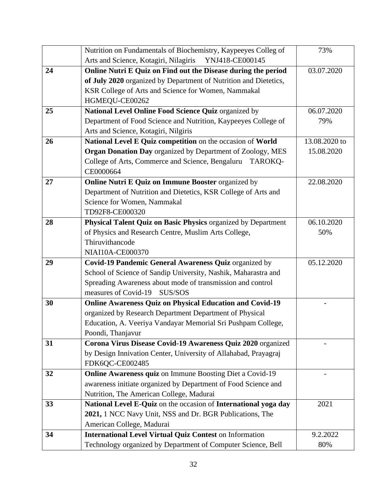|    | Nutrition on Fundamentals of Biochemistry, Kaypeeyes Colleg of    | 73%           |
|----|-------------------------------------------------------------------|---------------|
|    | Arts and Science, Kotagiri, Nilagiris<br>YNJ418-CE000145          |               |
| 24 | Online Nutri E Quiz on Find out the Disease during the period     | 03.07.2020    |
|    | of July 2020 organized by Department of Nutrition and Dietetics,  |               |
|    | KSR College of Arts and Science for Women, Nammakal               |               |
|    | HGMEQU-CE00262                                                    |               |
| 25 | National Level Online Food Science Quiz organized by              | 06.07.2020    |
|    | Department of Food Science and Nutrition, Kaypeeyes College of    | 79%           |
|    | Arts and Science, Kotagiri, Nilgiris                              |               |
| 26 | National Level E Quiz competition on the occasion of World        | 13.08.2020 to |
|    | <b>Organ Donation Day</b> organized by Department of Zoology, MES | 15.08.2020    |
|    | College of Arts, Commerce and Science, Bengaluru<br>TAROKO-       |               |
|    | CE0000664                                                         |               |
| 27 | Online Nutri E Quiz on Immune Booster organized by                | 22.08.2020    |
|    | Department of Nutrition and Dietetics, KSR College of Arts and    |               |
|    | Science for Women, Nammakal                                       |               |
|    | TD92F8-CE000320                                                   |               |
| 28 | Physical Talent Quiz on Basic Physics organized by Department     | 06.10.2020    |
|    | of Physics and Research Centre, Muslim Arts College,              | 50%           |
|    | Thiruvithancode                                                   |               |
|    | NIAI10A-CE000370                                                  |               |
| 29 | Covid-19 Pandemic General Awareness Quiz organized by             | 05.12.2020    |
|    | School of Science of Sandip University, Nashik, Maharastra and    |               |
|    | Spreading Awareness about mode of transmission and control        |               |
|    | measures of Covid-19<br>SUS/SOS                                   |               |
| 30 | <b>Online Awareness Quiz on Physical Education and Covid-19</b>   |               |
|    | organized by Research Department Department of Physical           |               |
|    | Education, A. Veeriya Vandayar Memorial Sri Pushpam College,      |               |
|    | Poondi, Thanjavur                                                 |               |
| 31 | Corona Virus Disease Covid-19 Awareness Quiz 2020 organized       |               |
|    | by Design Innivation Center, University of Allahabad, Prayagraj   |               |
|    | FDK6QC-CE002485                                                   |               |
| 32 | <b>Online Awareness quiz</b> on Immune Boosting Diet a Covid-19   |               |
|    | awareness initiate organized by Department of Food Science and    |               |
|    | Nutrition, The American College, Madurai                          |               |
| 33 | National Level E-Quiz on the occasion of International yoga day   | 2021          |
|    | 2021, 1 NCC Navy Unit, NSS and Dr. BGR Publications, The          |               |
|    | American College, Madurai                                         |               |
| 34 | <b>International Level Virtual Quiz Contest on Information</b>    | 9.2.2022      |
|    | Technology organized by Department of Computer Science, Bell      | 80%           |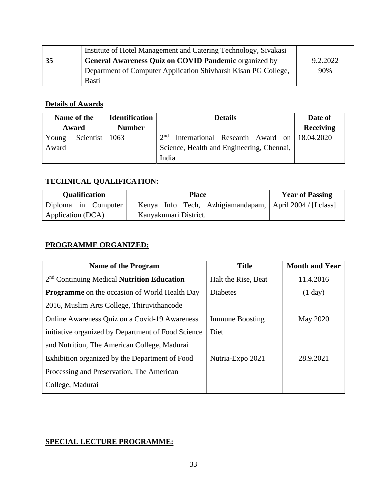|    | Institute of Hotel Management and Catering Technology, Sivakasi |          |
|----|-----------------------------------------------------------------|----------|
| 35 | General Awareness Quiz on COVID Pandemic organized by           | 9.2.2022 |
|    | Department of Computer Application Shivharsh Kisan PG College,  | 90%      |
|    | <b>Basti</b>                                                    |          |

## **Details of Awards**

| Name of the |           | <b>Identification</b> | <b>Details</b>                                            | Date of          |
|-------------|-----------|-----------------------|-----------------------------------------------------------|------------------|
| Award       |           | <b>Number</b>         |                                                           | <b>Receiving</b> |
| Young       | Scientist | 1063                  | $\gamma$ nd<br>International Research Award on 18.04.2020 |                  |
| Award       |           |                       | Science, Health and Engineering, Chennai,                 |                  |
|             |           |                       | India                                                     |                  |

## **TECHNICAL QUALIFICATION:**

| <b>Qualification</b> | <b>Place</b>                                             | <b>Year of Passing</b> |
|----------------------|----------------------------------------------------------|------------------------|
| Diploma in Computer  | Kenya Info Tech, Azhigiamandapam, April 2004 / [I class] |                        |
| Application (DCA)    | Kanyakumari District.                                    |                        |

#### **PROGRAMME ORGANIZED:**

| <b>Name of the Program</b>                           | <b>Title</b>           | <b>Month and Year</b> |
|------------------------------------------------------|------------------------|-----------------------|
| $2nd$ Continuing Medical <b>Nutrition Education</b>  | Halt the Rise, Beat    | 11.4.2016             |
| <b>Programme</b> on the occasion of World Health Day | <b>Diabetes</b>        | (1 day)               |
| 2016, Muslim Arts College, Thiruvithancode           |                        |                       |
| Online Awareness Quiz on a Covid-19 Awareness        | <b>Immune Boosting</b> | <b>May 2020</b>       |
| initiative organized by Department of Food Science   | Diet                   |                       |
| and Nutrition, The American College, Madurai         |                        |                       |
| Exhibition organized by the Department of Food       | Nutria-Expo 2021       | 28.9.2021             |
| Processing and Preservation, The American            |                        |                       |
| College, Madurai                                     |                        |                       |

#### **SPECIAL LECTURE PROGRAMME:**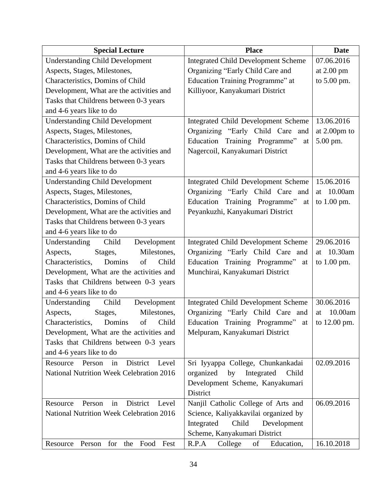| <b>Special Lecture</b>                           | <b>Place</b>                               | <b>Date</b>            |
|--------------------------------------------------|--------------------------------------------|------------------------|
| <b>Understanding Child Development</b>           | <b>Integrated Child Development Scheme</b> | 07.06.2016             |
| Aspects, Stages, Milestones,                     | Organizing "Early Child Care and           | at $2.00 \text{ pm}$   |
| Characteristics, Domins of Child                 | Education Training Programme" at           | to 5.00 pm.            |
| Development, What are the activities and         | Killiyoor, Kanyakumari District            |                        |
| Tasks that Childrens between 0-3 years           |                                            |                        |
| and 4-6 years like to do                         |                                            |                        |
| <b>Understanding Child Development</b>           | <b>Integrated Child Development Scheme</b> | 13.06.2016             |
| Aspects, Stages, Milestones,                     | Organizing "Early Child Care and           | at $2.00 \text{pm}$ to |
| Characteristics, Domins of Child                 | Education Training Programme"<br>at        | 5.00 pm.               |
| Development, What are the activities and         | Nagercoil, Kanyakumari District            |                        |
| Tasks that Childrens between 0-3 years           |                                            |                        |
| and 4-6 years like to do                         |                                            |                        |
| <b>Understanding Child Development</b>           | Integrated Child Development Scheme        | 15.06.2016             |
| Aspects, Stages, Milestones,                     | Organizing "Early Child Care and           | 10.00am<br>at          |
| Characteristics, Domins of Child                 | Education Training Programme"<br>at        | to $1.00$ pm.          |
| Development, What are the activities and         | Peyankuzhi, Kanyakumari District           |                        |
| Tasks that Childrens between 0-3 years           |                                            |                        |
| and 4-6 years like to do                         |                                            |                        |
| Understanding Child<br>Development               | Integrated Child Development Scheme        | 29.06.2016             |
| Milestones,<br>Aspects,<br>Stages,               | Organizing "Early Child Care and           | at 10.30am             |
| Domins<br>Child<br>Characteristics,<br>of        | Education Training Programme"<br>at        | to $1.00$ pm.          |
| Development, What are the activities and         | Munchirai, Kanyakumari District            |                        |
| Tasks that Childrens between 0-3 years           |                                            |                        |
| and 4-6 years like to do                         |                                            |                        |
| Understanding Child<br>Development               | <b>Integrated Child Development Scheme</b> | 30.06.2016             |
| Milestones,<br>Aspects,<br>Stages,               | Organizing "Early Child Care and           | 10.00am<br>at          |
| Characteristics,<br>Domins<br>Child<br>of        | Education Training Programme"<br>at        | to 12.00 pm.           |
| Development, What are the activities and         | Melpuram, Kanyakumari District             |                        |
| Tasks that Childrens between 0-3 years           |                                            |                        |
| and 4-6 years like to do                         |                                            |                        |
| District<br>Resource Person<br>in<br>Level       | Sri Iyyappa College, Chunkankadai          | 02.09.2016             |
| National Nutrition Week Celebration 2016         | organized<br>by<br>Integrated<br>Child     |                        |
|                                                  | Development Scheme, Kanyakumari            |                        |
|                                                  | District                                   |                        |
| District<br>Resource<br>Person<br>in<br>Level    | Nanjil Catholic College of Arts and        | 06.09.2016             |
| <b>National Nutrition Week Celebration 2016</b>  | Science, Kaliyakkavilai organized by       |                        |
|                                                  | Integrated<br>Child<br>Development         |                        |
|                                                  | Scheme, Kanyakumari District               |                        |
| for<br>Food<br>Fest<br>Resource<br>Person<br>the | R.P.A<br>College<br>of<br>Education,       | 16.10.2018             |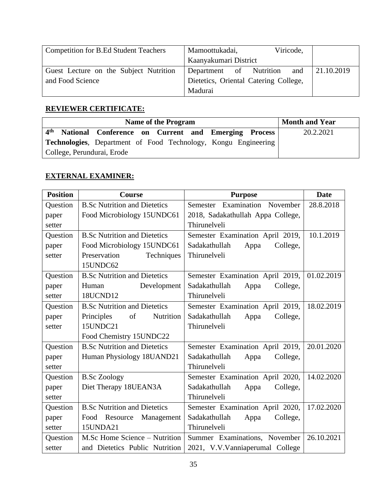| Competition for B.Ed Student Teachers  | Viricode,<br>Mamoottukadai,           |            |
|----------------------------------------|---------------------------------------|------------|
|                                        | Kaanyakumari District                 |            |
| Guest Lecture on the Subject Nutrition | Department of Nutrition<br>and        | 21.10.2019 |
| and Food Science                       | Dietetics, Oriental Catering College, |            |
|                                        | Madurai                               |            |

### **REVIEWER CERTIFICATE:**

| <b>Name of the Program</b>                                             | <b>Month and Year</b> |
|------------------------------------------------------------------------|-----------------------|
| 4 <sup>th</sup><br>National Conference on Current and Emerging Process | 20.2.2021             |
| <b>Technologies,</b> Department of Food Technology, Kongu Engineering  |                       |
| College, Perundurai, Erode                                             |                       |

#### **EXTERNAL EXAMINER:**

| <b>Position</b> | Course                              | <b>Purpose</b>                              | <b>Date</b> |
|-----------------|-------------------------------------|---------------------------------------------|-------------|
| <b>Question</b> | <b>B.Sc Nutrition and Dietetics</b> | Semester Examination November               | 28.8.2018   |
| paper           | Food Microbiology 15UNDC61          | 2018, Sadakathullah Appa College,           |             |
| setter          |                                     | Thirunelveli                                |             |
| Question        | <b>B.Sc Nutrition and Dietetics</b> | Semester Examination April 2019,            | 10.1.2019   |
| paper           | Food Microbiology 15UNDC61          | College,<br>Sadakathullah<br>Appa           |             |
| setter          | Preservation<br>Techniques          | Thirunelveli                                |             |
|                 | 15UNDC62                            |                                             |             |
| Question        | <b>B.Sc Nutrition and Dietetics</b> | Semester Examination April 2019, 01.02.2019 |             |
| paper           | Development<br>Human                | Sadakathullah<br>Appa<br>College,           |             |
| setter          | 18UCND12                            | Thirunelveli                                |             |
| Question        | <b>B.Sc Nutrition and Dietetics</b> | Semester Examination April 2019,            | 18.02.2019  |
| paper           | of<br>Nutrition<br>Principles       | College,<br>Sadakathullah<br>Appa           |             |
| setter          | 15UNDC21                            | Thirunelveli                                |             |
|                 | Food Chemistry 15UNDC22             |                                             |             |
| Question        | <b>B.Sc Nutrition and Dietetics</b> | Semester Examination April 2019,            | 20.01.2020  |
| paper           | Human Physiology 18UAND21           | Sadakathullah<br>Appa<br>College,           |             |
| setter          |                                     | Thirunelveli                                |             |
| Question        | <b>B.Sc Zoology</b>                 | Semester Examination April 2020,            | 14.02.2020  |
| paper           | Diet Therapy 18UEAN3A               | Sadakathullah<br>College,<br>Appa           |             |
| setter          |                                     | Thirunelveli                                |             |
| Question        | <b>B.Sc Nutrition and Dietetics</b> | Semester Examination April 2020,            | 17.02.2020  |
| paper           | Food Resource Management            | Sadakathullah<br>College,<br>Appa           |             |
| setter          | 15UNDA21                            | Thirunelveli                                |             |
| Question        | M.Sc Home Science – Nutrition       | Summer Examinations, November               | 26.10.2021  |
| setter          | and Dietetics Public Nutrition      | 2021, V.V.Vanniaperumal College             |             |